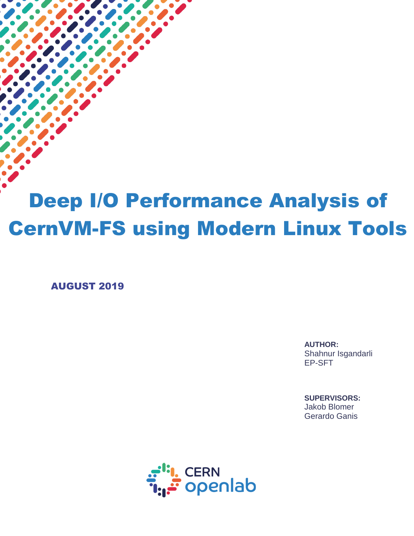# Deep I/O Performance Analysis of CernVM-FS using Modern Linux Tools

AUGUST 2019

 $\overline{a}$ 

**AUTHOR:** Shahnur Isgandarli EP-SFT

**SUPERVISORS:** Jakob Blomer Gerardo Ganis

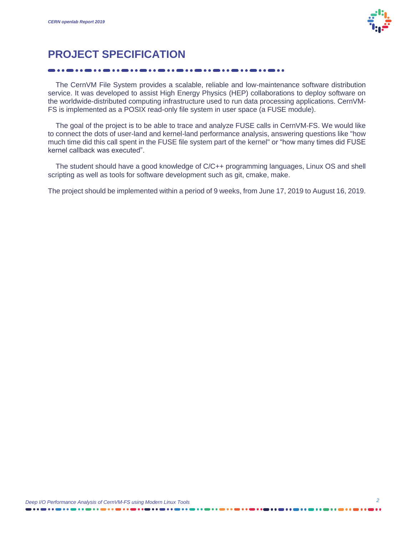

# **PROJECT SPECIFICATION**

 The CernVM File System provides a scalable, reliable and low-maintenance software distribution service. It was developed to assist High Energy Physics (HEP) collaborations to deploy software on the worldwide-distributed computing infrastructure used to run data processing applications. CernVM-FS is implemented as a POSIX read-only file system in user space (a FUSE module).

 The goal of the project is to be able to trace and analyze FUSE calls in CernVM-FS. We would like to connect the dots of user-land and kernel-land performance analysis, answering questions like "how much time did this call spent in the FUSE file system part of the kernel" or "how many times did FUSE kernel callback was executed".

 The student should have a good knowledge of C/C++ programming languages, Linux OS and shell scripting as well as tools for software development such as git, cmake, make.

The project should be implemented within a period of 9 weeks, from June 17, 2019 to August 16, 2019.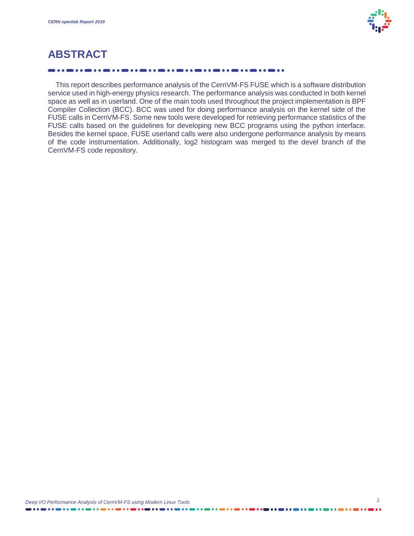

# **ABSTRACT**

 This report describes performance analysis of the CernVM-FS FUSE which is a software distribution service used in high-energy physics research. The performance analysis was conducted in both kernel space as well as in userland. One of the main tools used throughout the project implementation is BPF Compiler Collection (BCC). BCC was used for doing performance analysis on the kernel side of the FUSE calls in CernVM-FS. Some new tools were developed for retrieving performance statistics of the FUSE calls based on the guidelines for developing new BCC programs using the python interface. Besides the kernel space, FUSE userland calls were also undergone performance analysis by means of the code instrumentation. Additionally, log2 histogram was merged to the devel branch of the CernVM-FS code repository.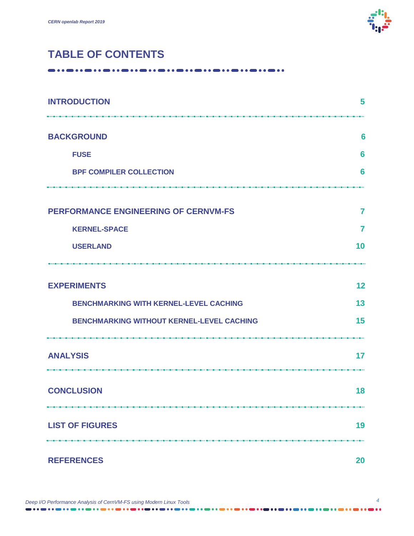

# **TABLE OF CONTENTS**

| <b>INTRODUCTION</b>                              | 5  |
|--------------------------------------------------|----|
| <b>BACKGROUND</b>                                | 6  |
| <b>FUSE</b>                                      | 6  |
| <b>BPF COMPILER COLLECTION</b>                   | 6  |
|                                                  |    |
| <b>PERFORMANCE ENGINEERING OF CERNVM-FS</b>      | 7  |
| <b>KERNEL-SPACE</b>                              | 7  |
| <b>USERLAND</b>                                  | 10 |
|                                                  |    |
| <b>EXPERIMENTS</b>                               | 12 |
| <b>BENCHMARKING WITH KERNEL-LEVEL CACHING</b>    | 13 |
| <b>BENCHMARKING WITHOUT KERNEL-LEVEL CACHING</b> | 15 |
| <b>ANALYSIS</b>                                  | 17 |
| <b>CONCLUSION</b>                                | 18 |
| <b>LIST OF FIGURES</b>                           | 19 |
| <b>REFERENCES</b>                                | 20 |

| Deep I/O Performance Analysis of CernVM-FS using Modern Linux Tools |
|---------------------------------------------------------------------|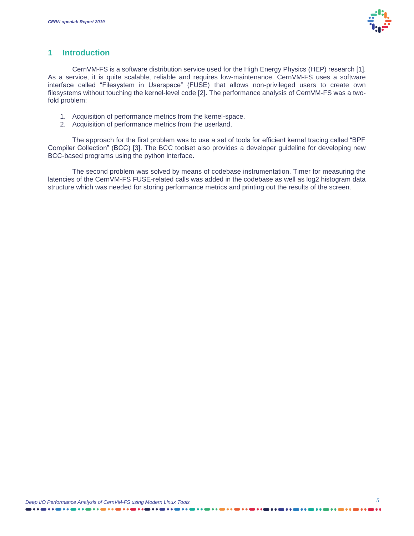

#### **1 Introduction**

CernVM-FS is a software distribution service used for the High Energy Physics (HEP) research [\[1\]](#page-19-0). As a service, it is quite scalable, reliable and requires low-maintenance. CernVM-FS uses a software interface called "Filesystem in Userspace" (FUSE) that allows non-privileged users to create own filesystems without touching the kernel-level code [\[2\]](#page-19-1). The performance analysis of CernVM-FS was a twofold problem:

- 1. Acquisition of performance metrics from the kernel-space.
- 2. Acquisition of performance metrics from the userland.

The approach for the first problem was to use a set of tools for efficient kernel tracing called "BPF Compiler Collection" (BCC) [\[3\]](#page-19-2). The BCC toolset also provides a developer guideline for developing new BCC-based programs using the python interface.

The second problem was solved by means of codebase instrumentation. Timer for measuring the latencies of the CernVM-FS FUSE-related calls was added in the codebase as well as log2 histogram data structure which was needed for storing performance metrics and printing out the results of the screen.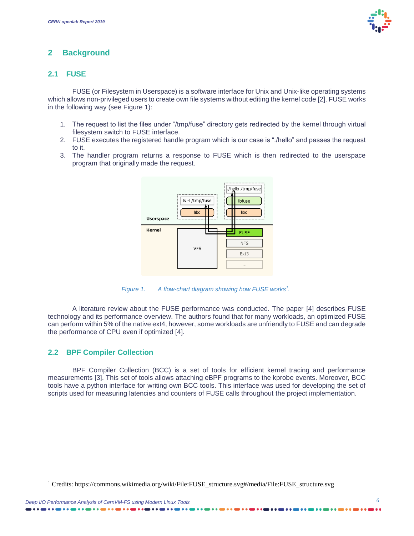#### **2 Background**

#### **2.1 FUSE**

FUSE (or Filesystem in Userspace) is a software interface for Unix and Unix-like operating systems which allows non-privileged users to create own file systems without editing the kernel code [\[2\]](#page-19-1). FUSE works in the following way (see [Figure 1\)](#page-5-0):

- 1. The request to list the files under "/tmp/fuse" directory gets redirected by the kernel through virtual filesystem switch to FUSE interface.
- 2. FUSE executes the registered handle program which is our case is "./hello" and passes the request to it.
- 3. The handler program returns a response to FUSE which is then redirected to the userspace program that originally made the request.



*Figure 1. A flow-chart diagram showing how FUSE works<sup>1</sup> .*

<span id="page-5-0"></span>A literature review about the FUSE performance was conducted. The paper [\[4\]](#page-19-3) describes FUSE technology and its performance overview. The authors found that for many workloads, an optimized FUSE can perform within 5% of the native ext4, however, some workloads are unfriendly to FUSE and can degrade the performance of CPU even if optimized [\[4\]](#page-19-3).

#### **2.2 BPF Compiler Collection**

l

BPF Compiler Collection (BCC) is a set of tools for efficient kernel tracing and performance measurements [\[3\]](#page-19-2). This set of tools allows attaching eBPF programs to the kprobe events. Moreover, BCC tools have a python interface for writing own BCC tools. This interface was used for developing the set of scripts used for measuring latencies and counters of FUSE calls throughout the project implementation.

<sup>1</sup> Credits: https://commons.wikimedia.org/wiki/File:FUSE\_structure.svg#/media/File:FUSE\_structure.svg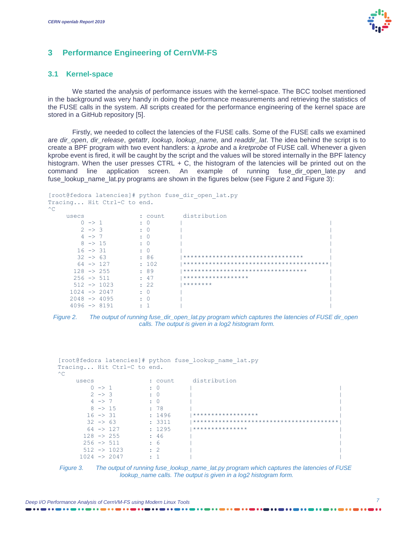

#### **3 Performance Engineering of CernVM-FS**

#### **3.1 Kernel-space**

We started the analysis of performance issues with the kernel-space. The BCC toolset mentioned in the background was very handy in doing the performance measurements and retrieving the statistics of the FUSE calls in the system. All scripts created for the performance engineering of the kernel space are stored in a GitHub repository [\[5\]](#page-19-4).

Firstly, we needed to collect the latencies of the FUSE calls. Some of the FUSE calls we examined are *dir\_open*, *dir\_release*, *getattr*, *lookup*, *lookup\_name,* and *readdir\_lat*. The idea behind the script is to create a BPF program with two event handlers: a *kprobe* and a *kretprobe* of FUSE call. Whenever a given kprobe event is fired, it will be caught by the script and the values will be stored internally in the BPF latency histogram. When the user presses CTRL  $+$  C, the histogram of the latencies will be printed out on the command line application screen. An example of running fuse\_dir\_open\_late.py and fuse\_lookup\_name\_lat.py programs are shown in the figures below (see [Figure 2](#page-6-0) and [Figure 3\)](#page-6-1):

```
[root@fedora latencies]# python fuse_dir_open_lat.py 
Tracing... Hit Ctrl-C to end.
^{\wedge}Cusecs : count distribution
0 \rightarrow 1 : 0 |
2 \rightarrow 3 : 0 |
4 \rightarrow 7 : 0 |
8 \rightarrow 15 : 0 |
       16 \rightarrow 31 : 0 |<br>
32 \rightarrow 63 : 86 |<br>
64 \rightarrow 127 : 102 |<br>
128 \rightarrow 255 : 89 |<br>
512 \rightarrow 1023 : 22 |
        32 -> 63 : 86 |********************************* |
       64 -> 127 : 102 |****************************************|
                                    128 -> 255 : 89 |********************************** |
      256 \rightarrow 511 : 47 32 33 34 3512 3512 36 372 3812 3912 3912 3912 3912 3912 3912 3912 3912 3912 3912 3912 3912 3912 3912 3912 3912 3912 3912 3912 3912 3912 3912 512 -> 10231024 -> 2047 : 0
     2048 -> 4095 : 0
      4096 \rightarrow 8191 : 1
```
<span id="page-6-0"></span>

```
[root@fedora latencies]# python fuse_lookup_name_lat.py
Tracing... Hit Ctrl-C to end.
\wedge \capusecs 0 \rightarrow 1 : count distribution<br>0 \rightarrow 1 : 0
                    \cdot \cdot \cdot 0
        2 \rightarrow 3 : 0 |
4 \rightarrow 7 : 0 |
       8 \rightarrow 15 : 78 |<br>16 -> 31 : 1496 |
                        16 -> 31 : 1496 |****************** |
        32 -> 63 : 3311 |****************************************|
       64 -> 127 : 1295 |****************<br>
128 -> 255 : 46 |
       128 -> 255
       256 \rightarrow 511 : 6
      512 \rightarrow 1023 : 2
      1024 -> 2047 : 1
```
<span id="page-6-1"></span>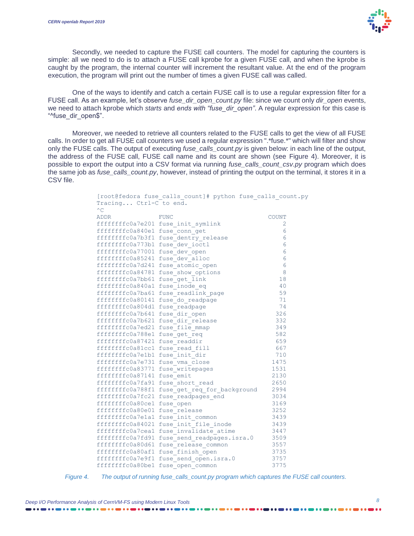

Secondly, we needed to capture the FUSE call counters. The model for capturing the counters is simple: all we need to do is to attach a FUSE call kprobe for a given FUSE call, and when the kprobe is caught by the program, the internal counter will increment the resultant value. At the end of the program execution, the program will print out the number of times a given FUSE call was called.

One of the ways to identify and catch a certain FUSE call is to use a regular expression filter for a FUSE call. As an example, let's observe *fuse\_dir\_open\_count.py* file: since we count only *dir\_open* events, we need to attach kprobe which *starts* and *ends with "fuse\_dir\_open"*. A regular expression for this case is "^fuse\_dir\_open\$".

Moreover, we needed to retrieve all counters related to the FUSE calls to get the view of all FUSE calls. In order to get all FUSE call counters we used a regular expression ".\*fuse.\*" which will filter and show only the FUSE calls. The output of executing *fuse\_calls\_count.py* is given below: in each line of the output, the address of the FUSE call, FUSE call name and its count are shown (see [Figure 4\)](#page-7-0). Moreover, it is possible to export the output into a CSV format via running *fuse\_calls\_count\_csv.py* program which does the same job as *fuse\_calls\_count.py*, however, instead of printing the output on the terminal, it stores it in a CSV file.

| Tracing Ctrl-C to end.<br>$^{\wedge}$ C | [root@fedora fuse calls count]# python fuse calls count.py |       |
|-----------------------------------------|------------------------------------------------------------|-------|
| <b>ADDR</b>                             | <b>FUNC</b>                                                | COUNT |
|                                         | ffffffffc0a7e201 fuse init_symlink                         | 2     |
| ffffffffc0a840e1                        | fuse conn get                                              | 6     |
| ffffffffc0a7b3f1                        | fuse dentry_release                                        | 6     |
| ffffffffc0a773b1                        | fuse dev ioctl                                             | 6     |
| ffffffffc0a77001                        | fuse dev_open                                              | 6     |
| ffffffffc0a85241                        | fuse_dev alloc                                             | 6     |
| ffffffffc0a7d241                        | fuse atomic open                                           | 6     |
| ffffffffc0a84781                        | fuse show options                                          | 8     |
| ffffffffc0a7bb61                        | fuse get link                                              | 18    |
| ffffffffc0a840a1                        | fuse inode eq                                              | 40    |
| ffffffffc0a7ba61                        | fuse readlink page                                         | 59    |
| ffffffffc0a80141                        | fuse do readpage                                           | 71    |
| ffffffffc0a804d1                        | fuse_readpage                                              | 74    |
| ffffffffc0a7b641                        | fuse dir open                                              | 326   |
| ffffffffc0a7b621                        | fuse dir release                                           | 332   |
| ffffffffc0a7ed21                        | fuse file mmap                                             | 349   |
| ffffffffc0a788e1                        | fuse get req                                               | 582   |
| ffffffffc0a87421                        | fuse readdir                                               | 659   |
| ffffffffc0a81cc1                        | fuse read fill                                             | 667   |
| ffffffffc0a7e1b1                        | fuse_init_dir                                              | 710   |
| ffffffffc0a7e731                        | fuse vma close                                             | 1475  |
| ffffffffc0a83771                        | fuse writepages                                            | 1531  |
| ffffffffc0a87141                        | fuse emit                                                  | 2130  |
| ffffffffc0a7fa91                        | fuse short read                                            | 2650  |
| ffffffffc0a788f1                        | fuse get req for background                                | 2994  |
| ffffffffc0a7fc21                        | fuse readpages end                                         | 3034  |
| ffffffffc0a80ce1                        | fuse open                                                  | 3169  |
| ffffffffc0a80e01                        | fuse release                                               | 3252  |
| ffffffffc0a7e1a1                        | fuse init common                                           | 3439  |
| ffffffffc0a84021                        | fuse init file inode                                       | 3439  |
| ffffffffc0a7cea1                        |                                                            | 3447  |
| ffffffffc0a7fd91                        | fuse invalidate atime                                      | 3509  |
| ffffffffc0a80d61                        | fuse send readpages.isra.0                                 | 3557  |
| ffffffffc0a80af1                        | fuse_release_common                                        | 3735  |
| ffffffffc0a7e9f1                        | fuse finish open                                           | 3757  |
|                                         | fuse send open.isra.0                                      |       |
| ffffffffc0a80be1                        | fuse open common                                           | 3775  |

<span id="page-7-0"></span>*Figure 4. The output of running fuse\_calls\_count.py program which captures the FUSE call counters.*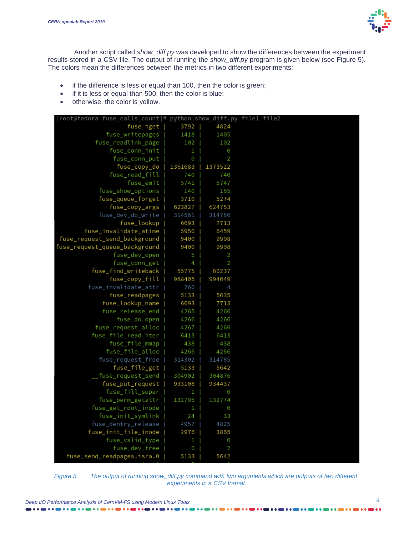

Another script called *show\_diff.py* was developed to show the differences between the experiment results stored in a CSV file. The output of running the *show\_diff.py* program is given below (see [Figure 5\)](#page-8-0). The colors mean the differences between the metrics in two different experiments:

- if the difference is less or equal than 100, then the color is green;
- if it is less or equal than 500, then the color is blue;
- otherwise, the color is yellow.

| [root@fedora fuse_calls_count]# python show_diff.py file1 file2 |         |         |  |
|-----------------------------------------------------------------|---------|---------|--|
| fuse_iget                                                       | 3792    | 4824    |  |
| fuse_writepages                                                 | 1418    | 1405    |  |
| fuse_readlink_page                                              | 102     | 102     |  |
| fuse_conn_init                                                  | 1       | Θ       |  |
| fuse_conn_put                                                   | 0       | 2       |  |
| fuse_copy_do                                                    | 1361683 | 1373522 |  |
| fuse_read_fill                                                  | 740     | 740     |  |
| fuse_emit                                                       | 5741    | 5747    |  |
| fuse_show_options                                               | 140     | 165     |  |
| fuse_queue_forget                                               | 3710    | 5274    |  |
| fuse_copy_args                                                  | 623827  | 624753  |  |
| fuse_dev_do_write                                               | 314561  | 314786  |  |
| fuse_lookup                                                     | 6693    | 7713    |  |
| fuse_invalidate_atime                                           | 5950    | 6459    |  |
| fuse_request_send_background                                    | 9400    | 9908    |  |
| fuse_request_queue_background                                   | 9400    | 9908    |  |
| fuse_dev_open                                                   | 5       | 2       |  |
| fuse_conn_get                                                   | 4       | 2       |  |
| fuse_find_writeback                                             | 55775   | 60237   |  |
| fuse_copy_fill                                                  | 988405  | 994049  |  |
| fuse_invalidate_attr                                            | 260     | 4       |  |
| fuse_readpages                                                  | 5133    | 5635    |  |
| fuse_lookup_name                                                | 6693    | 7713    |  |
| fuse_release_end                                                | 4265    | 4266    |  |
| fuse_do_open                                                    | 4266    | 4266    |  |
| fuse_request_alloc                                              | 4267    | 4266    |  |
| fuse_file_read_iter                                             | 6413    | 6413    |  |
| fuse_file_mmap                                                  | 438     | 438     |  |
| fuse_file_alloc                                                 | 4266    | 4266    |  |
| fuse_request_free                                               | 314302  | 314785  |  |
| fuse_file_get                                                   | 5133    | 5642    |  |
| __fuse_request_send                                             | 304902  | 304876  |  |
| fuse_put_request                                                | 933108  | 934437  |  |
| fuse_fill_super                                                 | 1       | Θ       |  |
| fuse_perm_getattr                                               | 132795  | 132774  |  |
| fuse_get_root_inode                                             | Ŧ.      | Θ       |  |
| fuse_init_symlink                                               | 24      | 33      |  |
| fuse_dentry_release                                             | 4957    | 4825    |  |
| fuse_init_file_inode                                            | 2976    | 3865    |  |
| fuse_valid_type                                                 | 1       | Θ       |  |
| fuse_dev_free                                                   | Θ       | 2       |  |
| fuse_send_readpages.isra.0                                      | 5133    | 5642    |  |

<span id="page-8-0"></span>*Figure 5. The output of running show\_diff.py command with two arguments which are outputs of two different experiments in a CSV format.*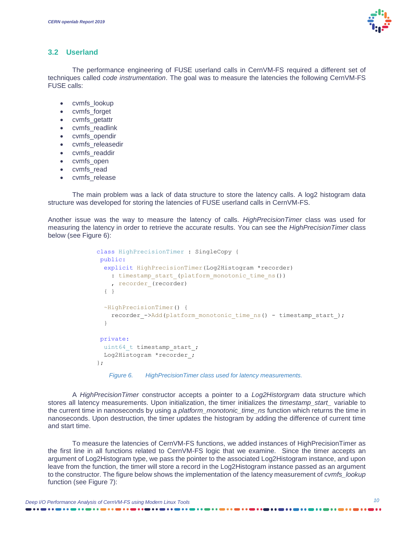

#### **3.2 Userland**

The performance engineering of FUSE userland calls in CernVM-FS required a different set of techniques called *code instrumentation*. The goal was to measure the latencies the following CernVM-FS FUSE calls:

- cvmfs\_lookup
- cvmfs\_forget
- cvmfs\_getattr
- cvmfs readlink
- cvmfs\_opendir
- cvmfs releasedir
- cvmfs\_readdir
- cvmfs\_open
- cvmfs read
- cvmfs release

The main problem was a lack of data structure to store the latency calls. A log2 histogram data structure was developed for storing the latencies of FUSE userland calls in CernVM-FS.

Another issue was the way to measure the latency of calls. *HighPrecisionTimer* class was used for measuring the latency in order to retrieve the accurate results. You can see the *HighPrecisionTimer* class below (see [Figure 6\)](#page-9-0):

```
class HighPrecisionTimer : SingleCopy {
public:
   explicit HighPrecisionTimer(Log2Histogram *recorder) 
     : timestamp_start_(platform_monotonic_time_ns()) 
    , recorder (recorder)
   { }
   ~HighPrecisionTimer() {
    recorder ->Add(platform monotonic time ns() - timestamp start);
   }
private:
 uint64 t timestamp start ;
 Log2Histogram *recorder ;
};
   Figure 6. HighPrecisionTimer class used for latency measurements.
```
<span id="page-9-0"></span>A *HighPrecisionTimer* constructor accepts a pointer to a *Log2Historgram* data structure which stores all latency measurements. Upon initialization, the timer initializes the *timestamp\_start\_* variable to the current time in nanoseconds by using a *platform\_monotonic\_time\_ns* function which returns the time in nanoseconds. Upon destruction, the timer updates the histogram by adding the difference of current time and start time.

To measure the latencies of CernVM-FS functions, we added instances of HighPrecisionTimer as the first line in all functions related to CernVM-FS logic that we examine. Since the timer accepts an argument of Log2Histogram type, we pass the pointer to the associated Log2Histogram instance, and upon leave from the function, the timer will store a record in the Log2Histogram instance passed as an argument to the constructor. The figure below shows the implementation of the latency measurement of *cvmfs\_lookup* function (see [Figure 7\)](#page-10-0):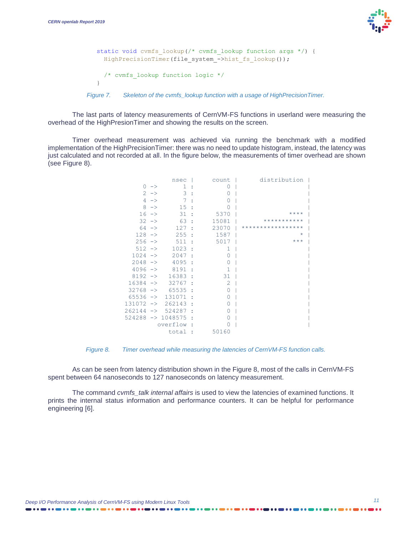

```
static void cvmfs lookup(/* cvmfs lookup function args */) {
    HighPrecisionTimer(file system ->hist fs lookup());
      /* cvmfs_lookup function logic */
  }
Figure 7. Skeleton of the cvmfs_lookup function with a usage of HighPrecisionTimer.
```
<span id="page-10-0"></span>The last parts of latency measurements of CernVM-FS functions in userland were measuring the overhead of the HighPresionTimer and showing the results on the screen.

Timer overhead measurement was achieved via running the benchmark with a modified implementation of the HighPrecisionTimer: there was no need to update histogram, instead, the latency was just calculated and not recorded at all. In the figure below, the measurements of timer overhead are shown (see [Figure 8\)](#page-10-1).

|                        |               | nsec                  |   | count            | distribution      |
|------------------------|---------------|-----------------------|---|------------------|-------------------|
| 0                      | $\rightarrow$ | 1                     |   | Ω                |                   |
|                        | $2 - \ge$     | 3                     | ÷ | Ω                |                   |
| 4                      | $\rightarrow$ | 7                     |   | 0                |                   |
| 8                      | $\rightarrow$ | 15                    |   | Ω                |                   |
| $16 - \ge$             |               | 31                    | t | 5370             | $***$ * * *       |
| $32 - 5$               |               | 63                    | ÷ | 15081            | ***********       |
| 64                     | $\rightarrow$ | 127                   | t | 23070            | ***************** |
| $128 - >$              |               | 255                   |   | 1587             | $^\star$          |
| 256                    | $\rightarrow$ | 511                   |   | 5017             | $***$             |
| $512 - \rightarrow$    |               | 1023                  | t | 1                |                   |
| 1024                   | $\rightarrow$ | 2047                  | ٠ | Ω                |                   |
| 2048                   | $\rightarrow$ | 4095                  | t | 0                |                   |
| $4096$ $\rightarrow$   |               | 8191                  | t | 1                |                   |
| 8192                   | $\rightarrow$ | 16383                 |   | 31               |                   |
| 16384                  | $\rightarrow$ | 32767                 | t | 2                |                   |
| $32768 - >$            |               | 65535                 |   | 0                |                   |
| 65536                  | $\rightarrow$ | 131071                |   | Ω                |                   |
| $131072 - \rightarrow$ |               | 262143                | t | Ω                |                   |
| 262144                 | $\rightarrow$ | 524287                | t | $\left( \right)$ |                   |
| 524288                 |               | $\rightarrow$ 1048575 | ٠ | Ω                |                   |
|                        |               | overflow              |   |                  |                   |
|                        |               | total                 | t | 50160            |                   |

*Figure 8. Timer overhead while measuring the latencies of CernVM-FS function calls.*

<span id="page-10-1"></span>As can be seen from latency distribution shown in the [Figure 8,](#page-10-1) most of the calls in CernVM-FS spent between 64 nanoseconds to 127 nanoseconds on latency measurement.

The command *cvmfs\_talk internal affairs* is used to view the latencies of examined functions. It prints the internal status information and performance counters. It can be helpful for performance engineering [\[6\]](#page-19-5).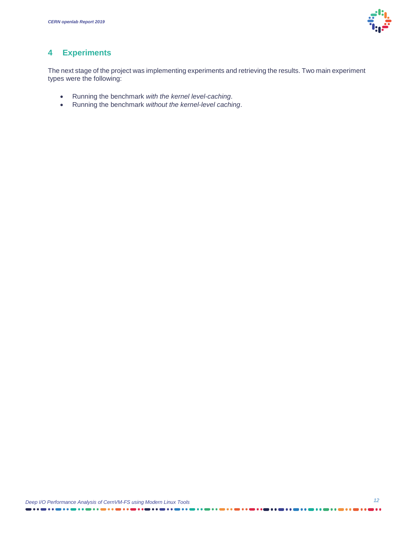

### **4 Experiments**

The next stage of the project was implementing experiments and retrieving the results. Two main experiment types were the following:

- Running the benchmark *with the kernel level-caching*.
- Running the benchmark *without the kernel-level caching*.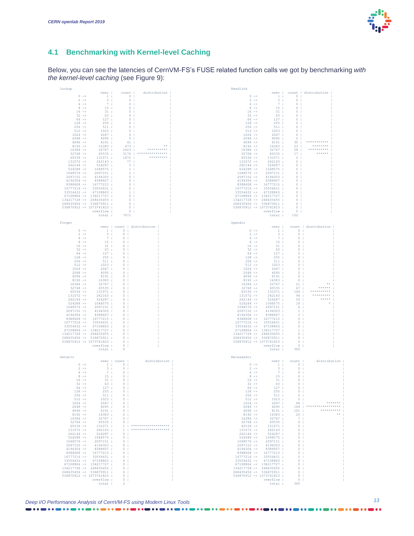

### **4.1 Benchmarking with Kernel-level Caching**

Below, you can see the latencies of CernVM-FS's FUSE related function calls we got by benchmarking *with the kernel-level caching* (see [Figure 9\)](#page-13-0):

|                                                       |                                      |                                                                  |                                                     | Readlink                                               |                                     |                                            |                             |
|-------------------------------------------------------|--------------------------------------|------------------------------------------------------------------|-----------------------------------------------------|--------------------------------------------------------|-------------------------------------|--------------------------------------------|-----------------------------|
|                                                       |                                      | nsec   count                                                     | distribution                                        |                                                        |                                     |                                            | nsec   count   distribution |
| $0 - \rightarrow$<br>$2 \rightarrow$                  | $3 \pm$                              | $1: 0 \t 1$                                                      | $0-1$                                               | $0 - \ge$<br>$2 \rightarrow$                           | $\frac{3}{2}$ :                     | 1: 0<br>$0-1$                              |                             |
| $4$ ->                                                | 7:                                   |                                                                  | 0 <sub>1</sub>                                      | $4$ $\rightarrow$                                      | 7:                                  | $\circ$                                    |                             |
| $8 -$                                                 | 15:                                  |                                                                  | 0 <sub>1</sub>                                      | $8$ $\rightarrow$                                      | 15:                                 | $\circ$                                    |                             |
| $16$ $\rightarrow$                                    | 31:                                  |                                                                  | 0 <sub>1</sub>                                      | $16$ $\rightarrow$                                     | 31:                                 | $\circ$                                    |                             |
| $32 -$                                                | 63:                                  |                                                                  | $\overline{\phantom{0}}$ 0 $\overline{\phantom{0}}$ | $32 -$                                                 | 63 :                                | $\circ$                                    |                             |
| $64 -$                                                | 127:                                 |                                                                  | $\overline{0}$                                      | $64 - >$                                               | 127:                                | $\Omega$                                   |                             |
| $128 - >$                                             | 255:                                 |                                                                  | $\sim$ 0 $\sim$ 1                                   | $128 - >$                                              | 255:                                | $\overline{0}$                             |                             |
| $256$ $\rightarrow$<br>$512 - \ge$                    | 511:                                 |                                                                  | $\sim$ 0                                            | $256$ $\rightarrow$                                    | 511:                                | $\sim$                                     |                             |
| $1024 - >$                                            | 1023:<br>2047:                       |                                                                  | $\sim$ 0<br>0 <sub>1</sub>                          | $512$ $\rightarrow$<br>$1024 - >$                      | 1023:<br>2047:                      | $\circ$<br>$0-1$                           |                             |
| $2048$ ->                                             | 4095:                                |                                                                  | 0 <sub>1</sub>                                      | $2048$ ->                                              | 4095 :                              | $2-1$                                      |                             |
| $4096$ ->                                             | 8191:                                |                                                                  | 41                                                  | $4096$ ->                                              | 8191:                               | 30 <sub>1</sub>                            |                             |
| $8192$ ->                                             | 16383:                               | 473                                                              |                                                     | $8192 -$                                               | 16383 :                             | 23                                         | ********                    |
| $16384$ ->                                            | 32767:                               | $2023$                                                           |                                                     | $16384$ ->                                             | 32767:                              | 28 <sub>1</sub>                            | *********                   |
| $32768$ ->                                            | 65535 :                              | 3176                                                             |                                                     | $32768 - >$                                            | 65535:                              | 17 <sub>1</sub>                            | ******                      |
| $65536$ $\rightarrow$                                 | 131071 :<br>262143 :                 | 1872  <br>77 <sub>1</sub>                                        | *********                                           | $65536$ $\rightarrow$                                  | 131071 :<br>262143:                 | $2-1$                                      |                             |
| $131072$ -><br>$262144$ $\rightarrow$                 | 524287 :                             |                                                                  | $-5 - 1$                                            | $131072$ -><br>$262144$ $\rightarrow$                  | 524287 :                            | $0-1$<br>$\overline{0}$                    |                             |
| $524288$ $\rightarrow$                                | 1048575 :                            |                                                                  | $-1$                                                | $524288$ $\rightarrow$                                 | 1048575 :                           | $\Omega$                                   |                             |
| $1048576$ ->                                          | 2097151:                             |                                                                  | $2-1$                                               | $1048576$ ->                                           | 2097151 :                           | $\circ$                                    |                             |
| $2097152$ ->                                          | 4194303 :                            |                                                                  | $\circ$                                             | $2097152$ ->                                           | 4194303:                            | $\circ$                                    |                             |
| $4194304$ ->                                          | 8388607 :                            |                                                                  | 0 <sub>1</sub>                                      | $4194304$ ->                                           | 8388607 :                           | $\circ$                                    |                             |
|                                                       | 8388608 -> 16777215:                 |                                                                  | $\overline{\phantom{0}}$ 0 $\overline{\phantom{0}}$ |                                                        | 8388608 -> 16777215:                | $\circ$                                    |                             |
| $16777216$ -> 33554431:<br>33554432 -> 67108863:      |                                      |                                                                  | $\circ$<br>$\frac{1}{1}$                            | $16777216$ -> 33554431 :<br>$33554432$ -> $67108863$ : |                                     | $\Omega$<br>$0-1$                          |                             |
| $67108864$ -> 134217727 :                             |                                      |                                                                  | $0-1$                                               | $67108864$ -> 134217727 :                              |                                     | $\overline{0}$                             |                             |
| 134217728 -> 268435455 :                              |                                      |                                                                  | $\overline{0}$                                      | 134217728 -> 268435455 :                               |                                     | $\circ$                                    |                             |
| 268435456 -> 536870911 :                              |                                      |                                                                  | $0-1$                                               | 268435456 -> 536870911 :                               |                                     | $\Omega$                                   |                             |
| 536870912 -> 1073741823 :                             |                                      |                                                                  | 0 <sub>1</sub>                                      | 536870912 -> 1073741823 :                              |                                     | $\circ$                                    |                             |
|                                                       | overflow :                           |                                                                  | 0 <sub>1</sub>                                      |                                                        | overflow :                          | $\circ$                                    |                             |
|                                                       | total :                              | 7671                                                             |                                                     |                                                        | total :                             | 102                                        |                             |
|                                                       |                                      |                                                                  |                                                     |                                                        |                                     |                                            |                             |
| Forget                                                |                                      |                                                                  | nsec   count   distribution                         | Opendir                                                |                                     |                                            | nsec   count   distribution |
| $0$ $\rightarrow$                                     |                                      | $\begin{array}{ccccccccc} & & & & 1 & & & & & & 0 & \end{array}$ |                                                     | $0$ $\rightarrow$                                      |                                     | $1: 0 \mid$                                |                             |
| $2 -$                                                 | $-3$ :                               | $\begin{array}{ccc} & & 0 & \end{array}$                         |                                                     | $2 \rightarrow$                                        | 3:                                  | 0 <sub>1</sub>                             |                             |
| $4 - >$                                               |                                      | 7 : 0                                                            |                                                     | $4 - \ge$                                              | 7:1                                 | $-0$ $+$                                   |                             |
| $8 -$                                                 | 15:                                  | $\begin{array}{c c} 0 & 1 \\ 0 & 1 \end{array}$                  |                                                     | $8$ $\rightarrow$                                      | 15:                                 | $0-1$                                      |                             |
| $16 - >$                                              | 31:                                  |                                                                  |                                                     | $16$ $\rightarrow$                                     | 31:                                 | $\circ$                                    |                             |
| $32 \rightarrow$                                      | 63 :                                 | $0-1$                                                            |                                                     | $32 -$                                                 | 63:                                 | $\overline{0}$                             |                             |
| $64 - >$<br>$128 -$                                   | 127:<br>255:                         | $\sim$ 0<br>0 <sub>1</sub>                                       |                                                     | $64 - >$<br>$128 - >$                                  | 127:<br>255:                        | $\overline{0}$<br>$\overline{\phantom{0}}$ |                             |
| $256 - >$                                             | 511:                                 | 0 <sub>1</sub>                                                   |                                                     | $256$ ->                                               | 511:                                | $\overline{\phantom{0}}$                   |                             |
| $512 -$                                               | 1023:                                | 0 <sub>1</sub>                                                   |                                                     | $512 - \rightarrow$                                    | 1023:                               | $\sim$ 0                                   |                             |
| $1024$ ->                                             | 2047:                                | $0-1$                                                            |                                                     | $1024$ ->                                              | 2047:                               | $\overline{0}$                             |                             |
| $2048$ ->                                             | 4095:                                | $0-1$                                                            |                                                     | $2048$ ->                                              | 4095:                               | $0-1$                                      |                             |
| $4096$ ->                                             | 8191:                                | 0 <sub>1</sub>                                                   |                                                     | $4096$ ->                                              | 8191:                               | 0 <sub>1</sub>                             |                             |
| $8192 -$                                              | 16383:                               | $0-1$                                                            |                                                     | $8192 -$                                               | 16383:                              | 0 <sub>1</sub>                             |                             |
| $16384$ $\rightarrow$<br>$32768$ ->                   | 32767:                               | $\circ$                                                          |                                                     | $16384$ -><br>$32768$ ->                               | 32767 :                             | 21                                         |                             |
|                                                       | 65535 :<br>131071:                   | $^{\circ}$                                                       |                                                     |                                                        | 65535:                              | $67$                                       |                             |
|                                                       |                                      |                                                                  |                                                     |                                                        |                                     |                                            |                             |
| $65536$ $\rightarrow$                                 |                                      | $^{\circ}$                                                       |                                                     | $65536$ $\rightarrow$                                  | 131071 :                            | $104$                                      | *********                   |
| $131072$ ->                                           | 262143 :                             | $^{\circ}$                                                       |                                                     | $131072$ ->                                            | 262143 :                            | 94                                         | *****                       |
| $262144$ $\rightarrow$                                | 524287 :                             | $0-1$<br>$\circ$                                                 |                                                     | $262144$ $\rightarrow$                                 | 524287 :                            | $50$                                       |                             |
| $1048576$ ->                                          | $524288$ -> $1048575$ :<br>2097151 : | $0-1$                                                            |                                                     | $524288$ $\rightarrow$<br>$1048576$ ->                 | 1048575 :<br>2097151 :              | 18<br>$-6$                                 |                             |
| $2097152$ ->                                          | 4194303 :                            | 0 <sub>1</sub>                                                   |                                                     | $2097152$ ->                                           | 4194303 :                           | 1 <sub>1</sub>                             |                             |
| $4194304$ ->                                          | 8388607 :                            | $0-1$                                                            |                                                     | $4194304$ ->                                           | 8388607 :                           | 3 <sub>1</sub>                             |                             |
|                                                       | 8388608 -> 16777215:                 | $\circ$                                                          |                                                     |                                                        | 8388608 -> 16777215:                | $\circ$                                    |                             |
| $16777216$ -> 33554431:                               |                                      | $\Omega$                                                         |                                                     | $16777216$ ->                                          | 33554431 :                          | $\Omega$                                   |                             |
| 33554432 -> 67108863 :                                |                                      | $0-1$                                                            |                                                     | 33554432 -> 67108863 :                                 |                                     | $\Omega$                                   |                             |
| $67108864$ -> 134217727 :                             |                                      | $0-1$<br>$0-1$                                                   |                                                     | 67108864 -> 134217727 :                                |                                     | $\mathbf{1}$<br>$\circ$                    |                             |
| 134217728 -> 268435455 :<br>268435456 -> 536870911 :  |                                      | $0-1$                                                            |                                                     | 134217728 -> 268435455 :<br>268435456 -> 536870911 :   |                                     | $\circ$                                    |                             |
| 536870912 -> 1073741823 :                             |                                      | $0-1$                                                            |                                                     | 536870912 -> 1073741823 :                              |                                     | $\Omega$                                   |                             |
|                                                       | overflow :                           | 0 <sub>1</sub>                                                   |                                                     |                                                        | overflow :                          | $\circ$                                    |                             |
|                                                       | total :                              | $\circ$                                                          |                                                     |                                                        | total :                             | 365                                        |                             |
|                                                       |                                      |                                                                  |                                                     |                                                        |                                     |                                            |                             |
| Getattr                                               |                                      |                                                                  |                                                     | Releasedir                                             |                                     |                                            |                             |
| $0$ $\rightarrow$                                     |                                      | nsec   count                                                     | distribution                                        | $0 - >$                                                |                                     | nsec   count                               | distribution                |
| $2 -$                                                 | 3:1                                  | $\sim$ 0 1                                                       |                                                     | $2 \rightarrow$                                        | 3 <sub>1</sub>                      | 1: 0<br>0 <sub>1</sub>                     |                             |
| $4$ ->                                                |                                      | 7:0                                                              |                                                     | $4$ $\rightarrow$                                      | 7:1                                 | 0 <sub>1</sub>                             |                             |
| $8 -$                                                 | 15:                                  | $\sim$ 0                                                         |                                                     | $8$ $\rightarrow$                                      | 15:                                 | $0-1$                                      |                             |
| $16 - >$                                              | 31:                                  | $\circ$                                                          |                                                     | $16$ $\rightarrow$                                     | 31:                                 | $\circ$                                    |                             |
| $32 -$                                                | 63:                                  | $\circ$                                                          |                                                     | $32 -$                                                 | 63:                                 | $\circ$                                    |                             |
| $64 -$                                                | 127:                                 | $\circ$                                                          |                                                     | $64 -$                                                 | 127:                                | $\circ$                                    |                             |
| $128$ ->                                              | 255:                                 | $0-1$<br>0 <sup>1</sup>                                          |                                                     | $128 - >$                                              | 255:                                | 0 <sub>1</sub><br>0 <sup>1</sup>           |                             |
| $256$ -><br>$512 - \rightarrow$                       | 511:<br>1023:                        | $\sim$ 0                                                         |                                                     | $256$ $\rightarrow$<br>$512 - \rightarrow$             | 511:<br>1023:                       | 0 <sub>1</sub>                             |                             |
| $1024 -$                                              | 2047:                                | $\sim$ 0 $\pm$                                                   |                                                     | $1024 - \ge 0$                                         | 2047:                               | 68                                         | *******                     |
| $2048$ $\rightarrow$                                  | 4095:                                | $\sim$ 0 $\pm$                                                   |                                                     | $2048 - \ge$                                           | 4095 :                              |                                            | $169$   ******************  |
| $4096$ ->                                             | 8191:                                | $-0$                                                             |                                                     | $4096$ ->                                              | 8191:                               | 101                                        | **********                  |
| $8192 -$                                              | 16383:                               | 0 <sub>1</sub>                                                   |                                                     | $8192 -$                                               | 16383 :                             | 20                                         | **                          |
| $16384$ $\rightarrow$                                 | 32767:                               | 0 <sub>1</sub>                                                   |                                                     | $16384$ $\rightarrow$                                  | 32767 :                             | 7                                          |                             |
| $32768$ $\rightarrow$                                 | 65535:                               | 0 <sup>1</sup>                                                   |                                                     | $32768$ $\rightarrow$                                  | 65535:                              | 0 <sup>1</sup>                             |                             |
| $65536$ $\rightarrow$                                 | 131071:                              |                                                                  | $-1$   *********************                        | $65536$ $\rightarrow$<br>$131072$ ->                   | 131071 :                            | $0-1$                                      |                             |
| $131072$ ->                                           | 262143 :                             | $0-1$                                                            | $-1$   *********************                        |                                                        | 262143 :                            | 0 <sub>1</sub><br>$0-1$                    |                             |
| $262144$ $\rightarrow$                                | 524287 :<br>$524288$ -> $1048575$ :  | $\sim$ 0 $\pm$                                                   |                                                     | $262144$ $\rightarrow$                                 | 524287 :<br>$524288$ -> $1048575$ : | $\sim$ 0 $\pm$                             |                             |
|                                                       | $1048576$ $\rightarrow$ 2097151 :    | $\sim$ 0 $\sim$ 1                                                |                                                     | $1048576$ ->                                           | 2097151 :                           | $0-1$                                      |                             |
| $2097152 -$                                           | 4194303 :                            | $0 - 1$                                                          |                                                     | $2097152$ ->                                           | 4194303 :                           | $0-1$                                      |                             |
| $4194304$ ->                                          | 8388607 :                            | 0 <sub>1</sub>                                                   |                                                     | $4194304$ ->                                           | 8388607 :                           | $\overline{0}$ i                           |                             |
|                                                       | $8388608$ -> $16777215$ :            | 0 <sub>1</sub>                                                   |                                                     | 8388608 ->                                             | 16777215 :                          | 0 <sub>1</sub>                             |                             |
| $16777216$ -> 33554431:                               |                                      | 0 <sub>1</sub>                                                   |                                                     | $16777216$ -> 33554431:                                |                                     |                                            |                             |
| 33554432 -> 67108863:                                 |                                      | $0-1$<br>$\sim$ 0 $\sim$ 1                                       |                                                     | 33554432 -> 67108863 :<br>$67108864$ -> $134217727$ :  |                                     | 0 <sub>1</sub><br>$0-1$                    |                             |
| $67108864$ -> 134217727 :<br>134217728 -> 268435455 : |                                      | $\sim$ 0 $\pm$                                                   |                                                     | 134217728 -> 268435455 :                               |                                     | $\sim$ 0 $\sim$ 1                          |                             |
| 268435456 -> 536870911 :                              |                                      | $\sim$ 0 $\pm$                                                   |                                                     | 268435456 -> 536870911 :                               |                                     | $0-1$                                      |                             |
| $536870912$ -> 1073741823 :                           |                                      | $\begin{array}{ccc} & & 0 & \end{array}$                         |                                                     | $536870912$ -> 1073741823 :                            |                                     | $0-1$                                      |                             |
|                                                       | overflow :<br>total :                | $\begin{array}{cc} 0 & 1 \end{array}$<br>$\overline{2}$          |                                                     |                                                        | overflow :<br>total :               | 0 <sub>1</sub><br>365                      |                             |

 $\bullet \bullet \bullet \bullet \bullet \bullet$ 

D.

*Deep I/O Performance Analysis of C 13 ernVM-FS using Modern Linux Tools*

. . . . . .

...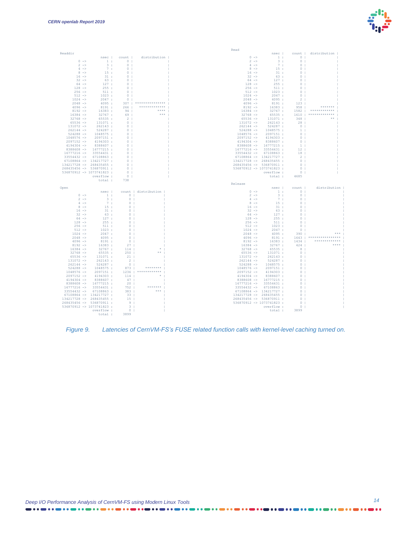

|                                    |                                        |                                                          |                             | Read                              |                                                              |                               |                             |  |
|------------------------------------|----------------------------------------|----------------------------------------------------------|-----------------------------|-----------------------------------|--------------------------------------------------------------|-------------------------------|-----------------------------|--|
| Readdir                            |                                        |                                                          |                             |                                   |                                                              |                               | nsec   count   distribution |  |
| $0 - \ge$                          |                                        | 1: 0 <sub>1</sub>                                        | nsec   count   distribution | $0 - \ge$<br>$2 \rightarrow$      | 3:                                                           | $1: 0 \t 1$<br>0 <sub>1</sub> |                             |  |
| $2 \rightarrow$                    | $-3 + -$                               | 0 <sup>1</sup>                                           |                             | $4 -$                             | 7 <sub>1</sub>                                               | 0 <sub>1</sub>                |                             |  |
| $4 - \ge$                          | 7 <sub>1</sub>                         | $\begin{array}{c}\n\circ \\ \circ \\ \circ\n\end{array}$ |                             | $8 - \ge$                         | $15$ :                                                       | $\circ$                       |                             |  |
| $8 - \ge$                          | 15:1                                   |                                                          |                             | $16 - 5$                          | 31:                                                          | $\circ$                       |                             |  |
| $16 - \ge$                         | 31:                                    |                                                          |                             | $32 -$                            | 63:                                                          | $\circ$                       |                             |  |
| $32 -$                             | 63 :                                   | 0 <sub>1</sub>                                           |                             | $64 -$                            | 127:                                                         | $\circ$                       |                             |  |
| $64 - >$                           | 127:                                   | $0-1$                                                    |                             | $128 - >$                         | 255:                                                         | $\Omega$                      |                             |  |
| $128 - >$                          | 255:                                   | $0-1$                                                    |                             | $256 - \ge$                       | 511:                                                         | $\Omega$                      |                             |  |
| $256$ $\rightarrow$                | 511:                                   | $\overline{0}$                                           |                             | $512 - \ge$                       | $\frac{1023}{2047}$ :                                        | $\Omega$                      |                             |  |
| $512 -$                            | 1023:                                  | $\overline{0}$ 1                                         |                             | $1024 -$                          | 2047:                                                        | $\sim$                        |                             |  |
| $1024 -$<br>$2048$ ->              | 2047:<br>4095:                         | $\overline{0}$ 1                                         | $307$   ****************    | $2048$ $\rightarrow$<br>$4096$ -> | 4095:<br>$4095 :$<br>8191 :<br>16383 :<br>32767 :<br>65535 . | $\overline{2}$<br>$123$       |                             |  |
| $4096$ ->                          | 8191:                                  | 266                                                      | **************              | $8192 -$                          |                                                              | 958                           | *******                     |  |
| $8192 -$                           | 16383:                                 | $94 -$                                                   | ****                        | $16384 -$                         |                                                              | 1582                          | ************                |  |
| $16384 - >$                        | 32767:                                 | $69 -$                                                   | ***                         | $32768$ $\rightarrow$             |                                                              | 65535: 1610                   |                             |  |
| $32768$ ->                         | 65535:                                 | $\sim$ 2                                                 |                             |                                   | $65536 \rightarrow 131071:$                                  | 348                           |                             |  |
| $65536$ $\rightarrow$              | 131071:                                | $\overline{0}$                                           |                             |                                   | $131072 \rightarrow 262143$ :                                | 281                           |                             |  |
| $131072$ ->                        | 262143:                                | 0 <sup>1</sup>                                           |                             |                                   | $262144$ $\rightarrow$ 524287:                               | $0-1$                         |                             |  |
| $262144$ $\rightarrow$             | 524287 :                               | $0-1$                                                    |                             |                                   | $524288$ -> $1048575$ :                                      | $\overline{1}$                |                             |  |
| $524288 - >$                       | 1048575:                               | $0-1$                                                    |                             |                                   | $1048576$ -> $2097151$ :                                     | $\circ$                       |                             |  |
| $1048576$ ->                       | 2097151:                               | $0-1$                                                    |                             | $2097152 - \ge 2$                 | 4194303:                                                     | $\circ$                       |                             |  |
| $2097152 -$                        | 4194303 :                              | $0-1$                                                    |                             | $4194304$ ->                      | 8388607 :                                                    | $\Omega$                      |                             |  |
| $4194304$ ->                       | 8388607 :                              | 0 <sub>1</sub>                                           |                             |                                   | 8388608 -> 16777215:                                         | $-1$                          |                             |  |
| $16777216$ ->                      | $8388608$ -> $16777215$ :<br>33554431: | $0-1$<br>$0-1$                                           |                             | $16777216$ -><br>$33554432 -$     | 33554431:<br>67108863:                                       | <sup>12</sup><br><b>18</b>    |                             |  |
| $33554432$ ->                      | 67108863 :                             | 0 <sub>1</sub>                                           |                             | $67108864$ -> 134217727 :         |                                                              | $\overline{2}$                |                             |  |
|                                    | $67108864$ -> 134217727 :              | $0-1$                                                    |                             | 134217728 -> 268435455 :          |                                                              | $\circ$                       |                             |  |
| 134217728 -> 268435455 :           |                                        | 0 <sub>1</sub>                                           |                             | 268435456 -> 536870911 :          |                                                              | $\circ$                       |                             |  |
| 268435456 -> 536870911 :           |                                        | $0-1$                                                    |                             | 536870912 -> 1073741823 :         |                                                              | $\Omega$                      |                             |  |
| 536870912 -> 1073741823 :          |                                        | $0-1$                                                    |                             |                                   | overflow :                                                   | 0 <sub>1</sub>                |                             |  |
|                                    | overflow :                             | $\sim$ 0 $\pm$                                           |                             |                                   | total :                                                      | 4685                          |                             |  |
|                                    |                                        |                                                          |                             |                                   |                                                              |                               |                             |  |
|                                    | total :                                | 738                                                      |                             |                                   |                                                              |                               |                             |  |
|                                    |                                        |                                                          |                             | Release                           |                                                              |                               |                             |  |
| Open                               |                                        |                                                          |                             |                                   |                                                              | nsec   count                  | distribution                |  |
|                                    | nsec                                   |                                                          | count   distribution        | $0 - >$                           |                                                              | $\frac{1}{2}$ : $\frac{0}{2}$ |                             |  |
| $0 - \ge$                          | $\sim$ $-1.4$                          | $\begin{bmatrix} 0 \\ 1 \end{bmatrix}$                   |                             | $2 \rightarrow$                   | 3:1                                                          | 0 <sub>1</sub><br>$\cap$      |                             |  |
| $2 \rightarrow$<br>$4 \rightarrow$ | 3 <sub>1</sub>                         | $0-1$                                                    |                             | $4 - >$<br>$8 - >$                | 7:                                                           | $\circ$                       |                             |  |
| $8 - >$                            | 7:1<br>15:                             | $\sim$ 0 $\pm$<br>$0-1$                                  |                             | $16 - >$                          | $15$ :<br>31:                                                | $\circ$                       |                             |  |
| $16 - \ge$                         | 31:                                    | $\sim$ 0 $\pm$                                           |                             | $32 -$                            | 63:                                                          | $\circ$                       |                             |  |
| $32 -$                             | 63:                                    | $\sim$ 0 $\pm$                                           |                             | $64 - 5$                          | 127:                                                         | $\circ$                       |                             |  |
| $64 - >$                           | 127:                                   | $\sim$ 0                                                 |                             |                                   |                                                              |                               |                             |  |
| $128 - \ge$                        | 255:                                   | $\overline{0}$                                           |                             |                                   |                                                              |                               |                             |  |
| $256 - \ge$                        | 511:                                   | $\Omega$                                                 |                             |                                   |                                                              |                               |                             |  |
| $512 -$                            | 1023:                                  | $0-1$                                                    |                             |                                   |                                                              |                               |                             |  |
| $1024$ ->                          | 2047:                                  | $\begin{array}{ccc} & 0 & \end{array}$<br>$\overline{0}$ |                             |                                   |                                                              |                               | **********                  |  |
| $2048$ -><br>$4096$ ->             | 4095:                                  | $\overline{0}$                                           |                             |                                   |                                                              |                               |                             |  |
| $8192 -$                           | 8191:<br>16383:                        | 27                                                       |                             |                                   |                                                              |                               |                             |  |
| $16384$ $\rightarrow$              | 32767:                                 |                                                          |                             |                                   |                                                              |                               |                             |  |
| $32768$ ->                         | 65535:                                 | $\begin{array}{c c} 27 \\ 114 \\ 252 \end{array}$<br>250 |                             |                                   |                                                              |                               |                             |  |
| $65536$ $\rightarrow$              | 131071 :                               |                                                          |                             | $131072$ ->                       | 262143:                                                      | $\overline{0}$                |                             |  |
| $131072$ ->                        | 262143 :                               | 21<br>$2-1$                                              |                             | $262144$ $\rightarrow$            | 524287 :                                                     | $\circ$                       |                             |  |
| $262144$ $\rightarrow$             | 524287 :                               | $0-1$                                                    |                             |                                   | $524288$ -> $1048575$ :                                      | $\Omega$                      |                             |  |
| $524288 - >$                       | 1048575 :                              | 873                                                      |                             |                                   | $1048576$ -> $2097151$ :                                     | $\Omega$                      |                             |  |
| $1048576$ ->                       | 2097151 :                              | $1236$                                                   |                             |                                   | $2097152 \rightarrow 4194303:$                               | $\circ$                       |                             |  |
| $2097152$ ->                       | 4194303 :                              | 114                                                      |                             | $4194304$ ->                      | 8388607 :                                                    | $\circ$<br>$\Omega$           |                             |  |
| $4194304$ -><br>$8388608$ ->       | 8388607 :<br>16777215:                 | $47-1$<br>20 <sub>1</sub>                                |                             | $8388608$ -><br>$16777216$ ->     | 16777215 :<br>33554431:                                      | $\circ$                       |                             |  |
| $16777216$ ->                      | 33554431 :                             |                                                          | *******                     | $33554432$ ->                     | 67108863 :                                                   | $\Omega$                      |                             |  |
|                                    | $33554432 \rightarrow 67108863$ :      | 752  <br>383                                             | ***                         | $67108864$ -> $134217727$ :       |                                                              | $\mathbf{r}$                  |                             |  |
|                                    | $67108864$ -> $134217727$ :            | $33-1$                                                   |                             | $134217728$ -> 268435455 :        |                                                              | $\circ$                       |                             |  |
| 134217728 -> 268435455 :           |                                        | $15-1$                                                   |                             | 268435456 -> 536870911:           |                                                              | $\Omega$                      |                             |  |
| 268435456 -> 536870911 :           |                                        | $\sim$ 9 1                                               |                             | 536870912 -> 1073741823 :         |                                                              | $\Omega$                      |                             |  |
| 536870912 -> 1073741823 :          |                                        | 3 <sub>1</sub>                                           |                             |                                   | overflow :                                                   | $\circ$                       |                             |  |
|                                    | overflow :<br>total :                  | $\begin{array}{c} 0 \\ -1 \end{array}$<br>3899           |                             |                                   | total :                                                      | 3899                          |                             |  |

<span id="page-13-0"></span>

. . . **. . . . . . . . . . . .** . .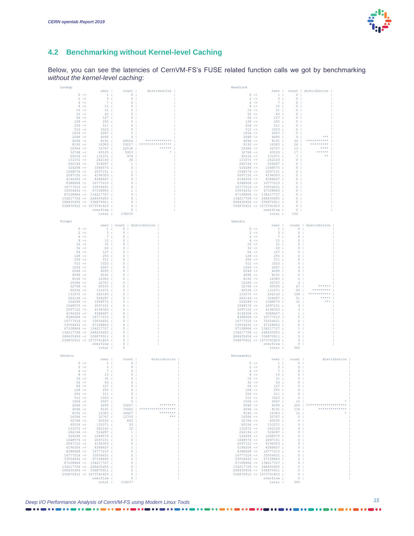

#### **4.2 Benchmarking without Kernel-level Caching**

Below, you can see the latencies of CernVM-FS's FUSE related function calls we got by benchmarking *without the kernel-level caching*:

| Lookup                                  |                             |                                                                                                                                                                                                                                                                                                                                                                       |                             | Readlink                              |                                                                                                                                                                                                                                                                                                      |                            |                             |              |
|-----------------------------------------|-----------------------------|-----------------------------------------------------------------------------------------------------------------------------------------------------------------------------------------------------------------------------------------------------------------------------------------------------------------------------------------------------------------------|-----------------------------|---------------------------------------|------------------------------------------------------------------------------------------------------------------------------------------------------------------------------------------------------------------------------------------------------------------------------------------------------|----------------------------|-----------------------------|--------------|
|                                         |                             | nsec   count                                                                                                                                                                                                                                                                                                                                                          | distribution                |                                       |                                                                                                                                                                                                                                                                                                      |                            | nsec   count   distribution |              |
| $0$ $\rightarrow$                       | $\sim$ $-1$ $\pm$ $-$       | $\begin{array}{c} 0 \\ 1 \end{array}$                                                                                                                                                                                                                                                                                                                                 |                             | $0$ $\rightarrow$                     |                                                                                                                                                                                                                                                                                                      | 1: 0                       |                             |              |
| $2 -$                                   | 3:1                         | 0 <sub>1</sub>                                                                                                                                                                                                                                                                                                                                                        |                             | $2 \rightarrow$                       | 3:1                                                                                                                                                                                                                                                                                                  | $\circ$                    |                             |              |
| $4$ ->                                  | 7:                          | 0 <sub>1</sub>                                                                                                                                                                                                                                                                                                                                                        |                             | $4$ $\rightarrow$                     | 7:                                                                                                                                                                                                                                                                                                   | $\circ$                    |                             |              |
| $8 - >$                                 | 15:                         | $\circ$                                                                                                                                                                                                                                                                                                                                                               |                             | $8 - >$                               | 15:                                                                                                                                                                                                                                                                                                  | $\Omega$                   |                             |              |
| $16$ $\rightarrow$                      | 31:                         | $\circ$                                                                                                                                                                                                                                                                                                                                                               |                             | $16$ $\rightarrow$                    | 31:                                                                                                                                                                                                                                                                                                  | $\circ$                    |                             |              |
| $32 -$                                  | 63:                         | $\circ$                                                                                                                                                                                                                                                                                                                                                               |                             | $32 -$                                | 63:                                                                                                                                                                                                                                                                                                  | $\circ$                    |                             |              |
| $64 -$                                  | 127:                        | $0-1$                                                                                                                                                                                                                                                                                                                                                                 |                             | $64 -$                                | 127:                                                                                                                                                                                                                                                                                                 | $\circ$                    |                             |              |
| $128 -$                                 | 255:                        | $\circ$                                                                                                                                                                                                                                                                                                                                                               |                             | $128 - >$                             | 255:                                                                                                                                                                                                                                                                                                 | $\circ$                    |                             |              |
| $256$ ->                                | 511:                        | $\Omega$                                                                                                                                                                                                                                                                                                                                                              |                             | $256$ ->                              | 511:                                                                                                                                                                                                                                                                                                 | $\Omega$                   |                             |              |
| $512 -$                                 | 1023:                       | 0 <sub>1</sub>                                                                                                                                                                                                                                                                                                                                                        |                             | $512 -$                               | 1023:                                                                                                                                                                                                                                                                                                | $\circ$                    |                             |              |
| $1024 -$                                | 2047:                       | $0-1$                                                                                                                                                                                                                                                                                                                                                                 |                             | $1024 -$                              | 2047:                                                                                                                                                                                                                                                                                                | $\circ$                    |                             |              |
| $2048$ ->                               | 4095:                       | 0 <sup>1</sup>                                                                                                                                                                                                                                                                                                                                                        |                             | $2048$ ->                             | 4095:                                                                                                                                                                                                                                                                                                | -9                         | ***                         |              |
| $4096$ ->                               | 8191:                       | 49504                                                                                                                                                                                                                                                                                                                                                                 |                             | $4096$ ->                             | 8191:                                                                                                                                                                                                                                                                                                | 30                         |                             |              |
| $8192 -$                                | 16383:                      | 59227                                                                                                                                                                                                                                                                                                                                                                 | ******                      | $8192 -$                              | 16383:                                                                                                                                                                                                                                                                                               | 26 <sub>1</sub>            | ****                        |              |
| $16384$ $\rightarrow$                   | 32767 :                     | 22538                                                                                                                                                                                                                                                                                                                                                                 | $\omega$                    | $16384$ ->                            | 32767 :                                                                                                                                                                                                                                                                                              | $13-1$                     | ******                      |              |
| $32768$ ->                              | 65535:                      | 5953                                                                                                                                                                                                                                                                                                                                                                  |                             | $32768$ $\rightarrow$                 | 65535:                                                                                                                                                                                                                                                                                               | 17 <sub>1</sub>            | $\star\star$                |              |
| $65536$ $\rightarrow$                   | 131071 :                    | 976                                                                                                                                                                                                                                                                                                                                                                   |                             | $65536$ $\rightarrow$                 | 131071:                                                                                                                                                                                                                                                                                              | 7 <sub>1</sub><br>$\Omega$ |                             |              |
| $131072$ ->                             | 262143 :                    | 34                                                                                                                                                                                                                                                                                                                                                                    |                             | $131072$ ->                           | 262143 :                                                                                                                                                                                                                                                                                             |                            |                             |              |
| $262144$ -><br>$524288$ ->              | 524287 :<br>1048575 :       | $-1$<br>$\circ$                                                                                                                                                                                                                                                                                                                                                       |                             | $262144$ -><br>$524288$ $\rightarrow$ | 524287:<br>1048575:                                                                                                                                                                                                                                                                                  | $\circ$<br>$\circ$         |                             |              |
| $1048576$ ->                            | 2097151 :                   | $\mathbf{1}$                                                                                                                                                                                                                                                                                                                                                          |                             | $1048576$ ->                          | 2097151 :                                                                                                                                                                                                                                                                                            | $\circ$                    |                             |              |
| $2097152$ ->                            | 4194303 :                   | $\circ$                                                                                                                                                                                                                                                                                                                                                               |                             | $2097152$ ->                          | 4194303:                                                                                                                                                                                                                                                                                             | $^{\circ}$                 |                             |              |
| $4194304$ ->                            | 8388607 :                   | $\Omega$                                                                                                                                                                                                                                                                                                                                                              |                             | $4194304$ ->                          | 8388607 :                                                                                                                                                                                                                                                                                            | $\Omega$                   |                             |              |
|                                         | 8388608 -> 16777215:        | $\circ$                                                                                                                                                                                                                                                                                                                                                               |                             |                                       | 8388608 -> 16777215:                                                                                                                                                                                                                                                                                 | $\Omega$                   |                             |              |
| $16777216$ -> $33554431$ :              |                             | $\circ$                                                                                                                                                                                                                                                                                                                                                               |                             |                                       | $16777216$ -> $33554431$ :                                                                                                                                                                                                                                                                           | $\circ$                    |                             |              |
| 33554432 -> 67108863 :                  |                             | $\mathbf{1}$                                                                                                                                                                                                                                                                                                                                                          |                             |                                       | 33554432 -> 67108863 :                                                                                                                                                                                                                                                                               | $\circ$                    |                             |              |
| $67108864 ~\rightarrow ~\ 134217727 ~:$ |                             | $0-1$                                                                                                                                                                                                                                                                                                                                                                 |                             |                                       | $67108864 ~\rightarrow ~\ 134217727 ~:$                                                                                                                                                                                                                                                              | $\Omega$                   |                             |              |
| 134217728 -> 268435455 :                |                             | 0 <sub>1</sub>                                                                                                                                                                                                                                                                                                                                                        |                             | 134217728 -> 268435455 :              |                                                                                                                                                                                                                                                                                                      | $\circ$                    |                             |              |
| 268435456 -> 536870911 :                |                             | $\circ$                                                                                                                                                                                                                                                                                                                                                               |                             | 268435456 -> 536870911 :              |                                                                                                                                                                                                                                                                                                      | $\circ$                    |                             |              |
| 536870912 -> 1073741823 :               |                             | $0-1$                                                                                                                                                                                                                                                                                                                                                                 |                             | 536870912 -> 1073741823 :             |                                                                                                                                                                                                                                                                                                      | $\circ$                    |                             |              |
|                                         | overflow :                  | $\circ$                                                                                                                                                                                                                                                                                                                                                               |                             |                                       | overflow :                                                                                                                                                                                                                                                                                           | $\circ$                    |                             |              |
|                                         | total :                     | 138235                                                                                                                                                                                                                                                                                                                                                                |                             |                                       | total :                                                                                                                                                                                                                                                                                              | 102                        |                             |              |
|                                         |                             |                                                                                                                                                                                                                                                                                                                                                                       |                             |                                       |                                                                                                                                                                                                                                                                                                      |                            |                             |              |
| Forget                                  |                             |                                                                                                                                                                                                                                                                                                                                                                       |                             | Opendir                               |                                                                                                                                                                                                                                                                                                      |                            |                             |              |
|                                         |                             | nsec   count   distribution                                                                                                                                                                                                                                                                                                                                           |                             |                                       |                                                                                                                                                                                                                                                                                                      |                            | nsec   count   distribution |              |
| $0 -$                                   |                             |                                                                                                                                                                                                                                                                                                                                                                       |                             | $0$ $\rightarrow$                     |                                                                                                                                                                                                                                                                                                      | $1: 0 \t 1$                |                             |              |
| $2 -$                                   | 3 <sub>1</sub>              | 0 <sub>1</sub>                                                                                                                                                                                                                                                                                                                                                        |                             | $2 \rightarrow$                       | $-3$ :                                                                                                                                                                                                                                                                                               | $0-1$                      |                             |              |
| $4$ ->                                  | 7:                          | 0 <sub>1</sub>                                                                                                                                                                                                                                                                                                                                                        |                             | $4$ $\rightarrow$                     | 7 <sub>1</sub>                                                                                                                                                                                                                                                                                       | $0-1$                      |                             |              |
| $8$ $\rightarrow$                       | 15:                         | $\circ$                                                                                                                                                                                                                                                                                                                                                               |                             | $8 \rightarrow$                       | 15:                                                                                                                                                                                                                                                                                                  | $\circ$                    |                             |              |
| $16$ $\rightarrow$                      | 31:                         | $\Omega$                                                                                                                                                                                                                                                                                                                                                              |                             | $16$ $\rightarrow$                    | 31:                                                                                                                                                                                                                                                                                                  | $\Omega$                   |                             |              |
| $32 -$                                  | 63:                         | $\circ$                                                                                                                                                                                                                                                                                                                                                               |                             | $32 -$                                | 63:                                                                                                                                                                                                                                                                                                  | $\circ$                    |                             |              |
| $64 -$                                  | 127:                        | $\circ$                                                                                                                                                                                                                                                                                                                                                               |                             | $64 -$                                | 127:                                                                                                                                                                                                                                                                                                 | $\circ$                    |                             |              |
| $128 - >$                               | 255:                        | 0 <sub>1</sub>                                                                                                                                                                                                                                                                                                                                                        |                             | $128 - >$                             | 255:                                                                                                                                                                                                                                                                                                 | $0-1$                      |                             |              |
| $256 - \ge$                             | 511:                        | $\overline{0}$                                                                                                                                                                                                                                                                                                                                                        |                             | $256$ $\rightarrow$                   | 511:                                                                                                                                                                                                                                                                                                 | $\circ$                    |                             |              |
| $512 -$                                 | 1023:                       | $\Omega$                                                                                                                                                                                                                                                                                                                                                              |                             | $512 -$                               | 1023:                                                                                                                                                                                                                                                                                                | $\Omega$                   |                             |              |
| $1024$ ->                               | 2047:                       | $0-1$                                                                                                                                                                                                                                                                                                                                                                 |                             | $1024$ ->                             | 2047:                                                                                                                                                                                                                                                                                                | $0-1$                      |                             |              |
| $2048$ ->                               | 4095 :                      | $\circ$                                                                                                                                                                                                                                                                                                                                                               |                             | $2048$ ->                             | 4095:                                                                                                                                                                                                                                                                                                | $\circ$                    |                             |              |
| $4096$ ->                               | 8191:                       | $0-1$                                                                                                                                                                                                                                                                                                                                                                 |                             | $4096$ ->                             | 8191:                                                                                                                                                                                                                                                                                                | $\circ$                    |                             |              |
| $8192 -$                                | 16383:                      | $\Omega$                                                                                                                                                                                                                                                                                                                                                              |                             | $8192 -$                              | 16383:                                                                                                                                                                                                                                                                                               | $0-1$                      |                             |              |
| $16384$ $\rightarrow$                   | 32767:                      | $\circ$                                                                                                                                                                                                                                                                                                                                                               |                             | $16384$ $\rightarrow$                 | 32767:                                                                                                                                                                                                                                                                                               | 4 <sub>1</sub>             |                             |              |
| $32768$ $\rightarrow$                   | 65535 :                     | $\circ$                                                                                                                                                                                                                                                                                                                                                               |                             | $32768$ $\rightarrow$                 | 65535:                                                                                                                                                                                                                                                                                               | $67$                       | ******                      |              |
| $65536$ $\rightarrow$                   | 131071:                     | $0-1$                                                                                                                                                                                                                                                                                                                                                                 |                             | $65536$ $\rightarrow$                 | 131071:                                                                                                                                                                                                                                                                                              | 95                         |                             |              |
| $131072$ ->                             | 262143 :                    | 0 <sub>1</sub>                                                                                                                                                                                                                                                                                                                                                        |                             | $131072$ ->                           | 262143 :                                                                                                                                                                                                                                                                                             | $108$                      |                             |              |
| $262144$ $\rightarrow$                  | 524287 :                    | $0-1$                                                                                                                                                                                                                                                                                                                                                                 |                             | $262144$ ->                           | 524287 :                                                                                                                                                                                                                                                                                             | 51                         | $* * * * * *$               |              |
| $524288 - >$                            | 1048575 :                   | 0 <sub>1</sub>                                                                                                                                                                                                                                                                                                                                                        |                             | $524288$ ->                           | 1048575:                                                                                                                                                                                                                                                                                             | 31                         | ***                         |              |
| $1048576$ ->                            | 2097151 :                   | $\circ$                                                                                                                                                                                                                                                                                                                                                               |                             | $1048576$ ->                          | 2097151 :                                                                                                                                                                                                                                                                                            | $-4$                       |                             |              |
| $2097152$ ->                            | 4194303:                    | $\circ$                                                                                                                                                                                                                                                                                                                                                               |                             | $2097152$ ->                          | 4194303:                                                                                                                                                                                                                                                                                             | $\mathbf{3}$               |                             |              |
| $4194304$ ->                            | 8388607 :                   | $\Omega$                                                                                                                                                                                                                                                                                                                                                              |                             | $4194304$ ->                          | 8388607 :                                                                                                                                                                                                                                                                                            | $\mathbf{1}$               |                             |              |
|                                         | 8388608 -> 16777215:        | $\Omega$                                                                                                                                                                                                                                                                                                                                                              |                             |                                       | 8388608 -> 16777215:                                                                                                                                                                                                                                                                                 | $\Omega$                   |                             |              |
| $16777216$ -> $33554431$ :              |                             | $\circ$                                                                                                                                                                                                                                                                                                                                                               |                             |                                       | $16777216$ -> $33554431$ :                                                                                                                                                                                                                                                                           | $^{\circ}$                 |                             |              |
| 33554432 -> 67108863 :                  |                             | $\circ$                                                                                                                                                                                                                                                                                                                                                               |                             |                                       | 33554432 -> 67108863 :                                                                                                                                                                                                                                                                               | $\circ$                    |                             |              |
| $67108864 ~\rightarrow ~\ 134217727 ~:$ |                             | $0-1$                                                                                                                                                                                                                                                                                                                                                                 |                             |                                       | $67108864 ~\rightarrow ~\ 134217727 ~:$                                                                                                                                                                                                                                                              | $1 -$                      |                             |              |
| $134217728$ -> 268435455 :              |                             | $\Omega$                                                                                                                                                                                                                                                                                                                                                              |                             | 134217728 -> 268435455 :              |                                                                                                                                                                                                                                                                                                      | $\Omega$                   |                             |              |
| 268435456 -> 536870911 :                |                             | $0-1$                                                                                                                                                                                                                                                                                                                                                                 |                             | 268435456 -> 536870911 :              |                                                                                                                                                                                                                                                                                                      | $\Omega$                   |                             |              |
| 536870912 -> 1073741823 :               |                             | $\circ$                                                                                                                                                                                                                                                                                                                                                               |                             | 536870912 -> 1073741823 :             |                                                                                                                                                                                                                                                                                                      | $\circ$                    |                             |              |
|                                         | overflow :                  | $\circ$                                                                                                                                                                                                                                                                                                                                                               |                             |                                       | overflow :                                                                                                                                                                                                                                                                                           | $\circ$                    |                             |              |
|                                         | total :                     | $\Omega$                                                                                                                                                                                                                                                                                                                                                              |                             |                                       | total :                                                                                                                                                                                                                                                                                              | 365                        |                             |              |
|                                         |                             |                                                                                                                                                                                                                                                                                                                                                                       |                             |                                       |                                                                                                                                                                                                                                                                                                      |                            |                             |              |
| Getattr                                 |                             |                                                                                                                                                                                                                                                                                                                                                                       |                             | Releasedir                            |                                                                                                                                                                                                                                                                                                      |                            |                             |              |
|                                         | nsec                        | count                                                                                                                                                                                                                                                                                                                                                                 | distribution                |                                       |                                                                                                                                                                                                                                                                                                      | nsec   count               |                             | distribution |
| $0 - >$                                 | $\gamma=1/4$ .              |                                                                                                                                                                                                                                                                                                                                                                       |                             | $0 - \ge$                             |                                                                                                                                                                                                                                                                                                      | 1: 0                       |                             |              |
| $2 \rightarrow$                         | $-3$ :                      | 0 <sub>1</sub>                                                                                                                                                                                                                                                                                                                                                        |                             | $2 \rightarrow$                       | 3:                                                                                                                                                                                                                                                                                                   | $0-1$                      |                             |              |
| $4$ ->                                  | 7 <sub>1</sub>              | 0 <sub>1</sub>                                                                                                                                                                                                                                                                                                                                                        |                             | $4$ $\rightarrow$                     | 7:1                                                                                                                                                                                                                                                                                                  | $\circ$                    |                             |              |
| $8 - >$                                 | 15:                         | $\circ$                                                                                                                                                                                                                                                                                                                                                               |                             | $8 -$                                 | 15:                                                                                                                                                                                                                                                                                                  | $\circ$                    |                             |              |
| $16$ $\rightarrow$                      | 31:                         | $\circ$                                                                                                                                                                                                                                                                                                                                                               |                             | $16$ $\rightarrow$                    | 31:                                                                                                                                                                                                                                                                                                  | $\circ$                    |                             |              |
| $32 -$                                  | 63:                         | $\circ$                                                                                                                                                                                                                                                                                                                                                               |                             | $32 \rightarrow$                      | 63 :                                                                                                                                                                                                                                                                                                 | $\Omega$                   |                             |              |
| $64 -$                                  | 127:                        | $\circ$                                                                                                                                                                                                                                                                                                                                                               |                             | $64 - >$                              | 127:                                                                                                                                                                                                                                                                                                 | $\circ$                    |                             |              |
| $128 - 5$                               |                             | $255$ : 0  <br>511 : 0                                                                                                                                                                                                                                                                                                                                                |                             | $128 - 5$                             | $255$ : 0                                                                                                                                                                                                                                                                                            |                            |                             |              |
| $256$ $\rightarrow$                     | 511:                        | $\begin{tabular}{ccc} 511 & 1 & . & . & . \\ 1023 & 1 & . & 0 & \vert \\ 2047 & 1 & . & 0 & \vert \\ 4095 & 1 & 33267 & \vert \\ 8191 & 1 & . & 75062 & \vert \\ 5383 & 1 & . & 12750 & \vert \\ 52767 & 1 & . & 12750 & \vert \\ 76578 & 1 & . & . & . & . \\ 683 & 1 & . & . & . & . \\ 7657 & 1 & . & . & . & . \\ 7657 & 1 & . & . & . & . \\ 7657 & 1 & . & . &$ |                             | $256$ $\rightarrow$                   | $511$ :                                                                                                                                                                                                                                                                                              | $\sim$ 0 $\sim$ 1          |                             |              |
| $512 - \ge$                             |                             |                                                                                                                                                                                                                                                                                                                                                                       |                             | $512 - \rightarrow$                   | 1023:                                                                                                                                                                                                                                                                                                | $0-1$                      |                             |              |
| $1024 - \ge 0$                          |                             |                                                                                                                                                                                                                                                                                                                                                                       |                             | $1024$ ->                             |                                                                                                                                                                                                                                                                                                      |                            |                             |              |
| $2048 - \ge$                            |                             |                                                                                                                                                                                                                                                                                                                                                                       | ********                    | $2048$ ->                             |                                                                                                                                                                                                                                                                                                      |                            |                             |              |
| $4096$ ->                               |                             |                                                                                                                                                                                                                                                                                                                                                                       | 75062   ******************* | $4096$ $\rightarrow$                  |                                                                                                                                                                                                                                                                                                      |                            |                             |              |
| $8192 -$                                |                             |                                                                                                                                                                                                                                                                                                                                                                       | ********                    | $8192$ ->                             |                                                                                                                                                                                                                                                                                                      |                            |                             |              |
| $16384$ $\rightarrow$                   |                             |                                                                                                                                                                                                                                                                                                                                                                       | $\pm$ * * *                 | $16384$ $\rightarrow$                 | 32767:                                                                                                                                                                                                                                                                                               | 5 <sub>1</sub>             |                             |              |
| $32768 - \ge$                           | 65535 :                     | 683                                                                                                                                                                                                                                                                                                                                                                   |                             | $32768 - >$                           | 65535 :                                                                                                                                                                                                                                                                                              | $0-1$                      |                             |              |
|                                         | $65536 \rightarrow 131071:$ | $33 -$                                                                                                                                                                                                                                                                                                                                                                |                             |                                       |                                                                                                                                                                                                                                                                                                      |                            |                             |              |
|                                         | $131072$ -> $262143$ :      |                                                                                                                                                                                                                                                                                                                                                                       |                             |                                       |                                                                                                                                                                                                                                                                                                      |                            |                             |              |
| $262144$ ->                             | 524287 :                    |                                                                                                                                                                                                                                                                                                                                                                       |                             |                                       |                                                                                                                                                                                                                                                                                                      |                            |                             |              |
|                                         | $524288$ -> $1048575$ :     | $\begin{array}{c} 12 \\ 12 \\ 1 \\ 1 \\ 0 \\ 0 \\ 1 \\ 0 \\ \end{array}$                                                                                                                                                                                                                                                                                              |                             |                                       | $\begin{array}{cccc} 2516 & -5 & 0 & 0 & 0 \\ 5536 & -5 & 131071 & 0 \\ 131072 & -5 & 62143 & 0 \\ 262144 & -5 & 24243 & 0 \\ 524288 & -5 & 1048575 & 0 \\ 1048576 & -5 & 2097151 & 0 \\ 2097152 & -5 & 4194303 & 0 \\ 194304 & -5 & 3288607 & 0 \\ 19304676 & -5 & 16777215 & 0 \\ 19308608 & -5 &$ |                            |                             |              |
| $1048576$ ->                            | 2097151:                    |                                                                                                                                                                                                                                                                                                                                                                       |                             |                                       |                                                                                                                                                                                                                                                                                                      |                            |                             |              |
| $2097152$ ->                            | 4194303 :                   |                                                                                                                                                                                                                                                                                                                                                                       |                             |                                       |                                                                                                                                                                                                                                                                                                      |                            |                             |              |
| $4194304$ -> $8388607$ :                |                             |                                                                                                                                                                                                                                                                                                                                                                       |                             |                                       |                                                                                                                                                                                                                                                                                                      |                            |                             |              |
| 8388608 -> 16777215:                    |                             |                                                                                                                                                                                                                                                                                                                                                                       |                             |                                       | $8388608 \rightarrow 16777215$ :                                                                                                                                                                                                                                                                     |                            |                             |              |
| $16777216$ -> 33554431:                 |                             | $0-1$                                                                                                                                                                                                                                                                                                                                                                 |                             |                                       | $16777216$ -> $33554431$ :                                                                                                                                                                                                                                                                           | $\sim$ 0 $\pm$             |                             |              |
| 33554432 -> 67108863 :                  |                             | $\sim$ 0                                                                                                                                                                                                                                                                                                                                                              |                             |                                       | 33554432 -> 67108863 :                                                                                                                                                                                                                                                                               | $\sim$ 0                   |                             |              |
| 67108864 -> 134217727 :                 |                             | $\sim$ 0                                                                                                                                                                                                                                                                                                                                                              |                             |                                       | 67108864 -> 134217727 :                                                                                                                                                                                                                                                                              | $\sim$ 0                   |                             |              |
| 134217728 -> 268435455 :                |                             | $\overline{0}$ $\overline{1}$                                                                                                                                                                                                                                                                                                                                         |                             | 134217728 -> 268435455 :              |                                                                                                                                                                                                                                                                                                      | $0-1$                      |                             |              |
| 268435456 -> 536870911 :                |                             | $\sim$ 0 $\pm$                                                                                                                                                                                                                                                                                                                                                        |                             | 268435456 -> 536870911 :              |                                                                                                                                                                                                                                                                                                      | $0-1$                      |                             |              |
| 536870912 -> 1073741823 :               |                             | $\begin{array}{c} 0 \\ \end{array}$                                                                                                                                                                                                                                                                                                                                   |                             | $536870912$ -> $1073741823$ :         |                                                                                                                                                                                                                                                                                                      | $\overline{0}$             |                             |              |
|                                         | overflow :                  | 0 <sub>1</sub>                                                                                                                                                                                                                                                                                                                                                        |                             |                                       | overflow:                                                                                                                                                                                                                                                                                            | 0 <sub>1</sub>             |                             |              |
|                                         | total :                     | 156237                                                                                                                                                                                                                                                                                                                                                                |                             |                                       | total :                                                                                                                                                                                                                                                                                              | 365                        |                             |              |

. . . . . . .

*Deep I/O Performance Analysis of CernVM-FS using Modern Linux Tools Properties and Modern Linux Tools Properties and Modern Linux Tools Properties and Modern Linux Tools* **<b>***Properties and Modern Linux Tools*

. . . . . .

. . . . . . .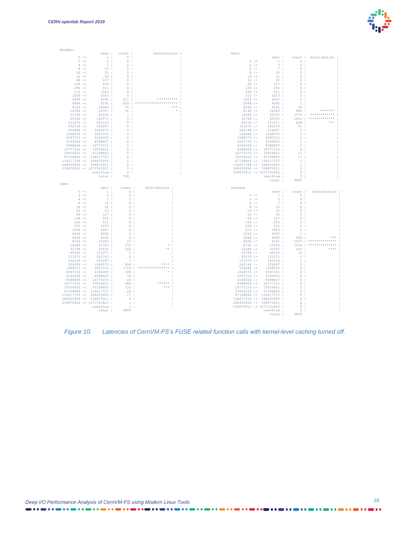

| Readdir                                |                                           |                                                         |                              |                                  |                                                                            |                                        |                                      |
|----------------------------------------|-------------------------------------------|---------------------------------------------------------|------------------------------|----------------------------------|----------------------------------------------------------------------------|----------------------------------------|--------------------------------------|
|                                        |                                           | nsec   count                                            | distribution                 | Read                             |                                                                            |                                        |                                      |
| $0$ $\rightarrow$                      |                                           | 1: 0                                                    |                              |                                  |                                                                            |                                        | nsec   count   distribution          |
| $2 \rightarrow$                        | $-3$ :<br>7.1                             | $\sim$ 0 $\pm$                                          |                              | $0 - \ge$<br>$2 \rightarrow$     |                                                                            | $1: 0 \mid$                            |                                      |
| $4$ $\rightarrow$<br>$8 - \ge$         | 15:                                       | $\overline{0}$<br>$\overline{0}$                        |                              | $4 \rightarrow$                  | $3 \div$<br>7:1                                                            | 0 <sub>1</sub><br>$0-1$                |                                      |
| $16 - >$                               | 31:                                       | $\circ$                                                 |                              | $8 - \ge$                        | 15:                                                                        | $\circ$                                |                                      |
| $32 -$                                 | 63:                                       | $\Omega$                                                |                              | $16 - \ge$                       | 31:                                                                        | $\Omega$                               |                                      |
| $64 -$                                 | 127:                                      | $\sim$ 0                                                |                              | $32 -$                           | 63:                                                                        | $\Omega$                               |                                      |
| $128 -$                                | 255:                                      | $\overline{0}$                                          |                              | $64 -$                           | 127:                                                                       | $\circ$                                |                                      |
| $256$ $\rightarrow$                    | 511:                                      | $\sim$ 0                                                |                              | $128 -$                          | 255:                                                                       | $\Omega$                               |                                      |
| $512 -$                                | 1023:                                     | $\sim$ 0                                                |                              | $256 - \ge$                      | 511:                                                                       | $\Omega$                               |                                      |
| $1024 -$                               | 2047:                                     | 0 <sub>1</sub>                                          |                              | $512 -$                          | 1023:                                                                      | $\circ$                                |                                      |
| $2048$ ->                              | 4095:                                     | 211                                                     | ***********                  |                                  |                                                                            |                                        |                                      |
| $4096$ ->                              | 8191:                                     | 420                                                     | *********************        |                                  |                                                                            |                                        |                                      |
| $8192 -$                               | 16383:                                    | 75 <sub>1</sub>                                         | ***                          |                                  |                                                                            |                                        | *******                              |
| $16384$ ->                             | 32767:                                    | 31                                                      |                              |                                  |                                                                            |                                        | *************                        |
| $32768 - \ge$<br>$65536$ $\rightarrow$ | 65535 :                                   | $\sim$ 1<br>$\sim$ 0                                    |                              |                                  |                                                                            |                                        | 32768 -> 65535: 1641   ************* |
| $131072 - >$                           | 131071:<br>262143:                        | $\sim$ 0                                                |                              |                                  | $65536 \rightarrow 131071:$                                                | 428                                    |                                      |
| $262144$ ->                            | 524287 :                                  | $\sim$ 0 $\sim$ 1                                       |                              | $131072$ ->                      | 262143 :                                                                   | 21                                     |                                      |
| $524288$ $\rightarrow$                 | 1048575:                                  | $\overline{\phantom{0}}$ 0 $\overline{\phantom{0}}$     |                              | $262144$ $\rightarrow$           | 524287 :                                                                   | $\frac{1}{2}$                          |                                      |
| $1048576$ ->                           | 2097151 :                                 | $0-1$                                                   |                              | $524288 - >$                     | 1048575:                                                                   | $0-1$                                  |                                      |
| $2097152 -$                            | 4194303 :                                 | $\Omega$                                                |                              | $1048576$ ->                     | 2097151:                                                                   | $0-1$                                  |                                      |
| $4194304$ ->                           | 8388607 :                                 | $\Omega$                                                |                              | $2097152 - \rightarrow$          | 4194303:                                                                   | $-1$                                   |                                      |
| $8388608$ ->                           | 16777215 :                                | $\Omega$                                                |                              | $4194304$ ->                     | 8388607 :                                                                  | $\Omega$                               |                                      |
| $16777216$ ->                          | 33554431:                                 | $\cap$                                                  |                              |                                  | 8388608 -> 16777215:                                                       | $0-1$                                  |                                      |
| $33554432$ ->                          | 67108863 :                                | $\cap$                                                  |                              |                                  | $16777216$ -> 33554431:                                                    | $-11 - 1$                              |                                      |
|                                        | $67108864$ -> 134217727 :                 | $\Omega$                                                |                              |                                  | 33554432 -> 67108863 :                                                     | 17                                     |                                      |
| 134217728 -> 268435455 :               |                                           | $\Omega$                                                |                              |                                  | 67108864 -> 134217727 :                                                    | $-3$                                   |                                      |
| 268435456 -> 536870911 :               |                                           | $\circ$                                                 |                              | 134217728 -> 268435455 :         |                                                                            | $\mathbf{1}$                           |                                      |
| 536870912 -> 1073741823 :              |                                           | $0-1$                                                   |                              | 268435456 -> 536870911 :         |                                                                            | $\Omega$                               |                                      |
|                                        | overflow :                                | $\sim$ 0 $\pm$                                          |                              | $536870912$ -> 1073741823 :      |                                                                            | $\sim$ 0 $\pm$                         |                                      |
|                                        | total :                                   | 738                                                     |                              |                                  | overflow :                                                                 | $\overline{\phantom{0}}$ 0 1           |                                      |
|                                        |                                           |                                                         |                              |                                  |                                                                            |                                        |                                      |
|                                        |                                           |                                                         |                              |                                  | total :                                                                    | 4685                                   |                                      |
| Open                                   | nsec                                      | count                                                   | distribution                 | Release                          |                                                                            |                                        |                                      |
| $0 -$                                  |                                           |                                                         |                              |                                  |                                                                            | nsec   count                           | distribution                         |
| $2 \rightarrow$                        | $\sim$ $-1$ $\pm$<br>$-3 + 1$             | $\begin{array}{c} 0 \\ 2 \end{array}$<br>$0-1$          |                              | $0 - >$                          |                                                                            |                                        |                                      |
| $4 - \ge$                              | 7:1                                       | 0 <sup>1</sup>                                          |                              | $2 \rightarrow$                  | 3:                                                                         | $1$ : 0  <br>0 <sub>1</sub>            |                                      |
| $8 - \ge$                              | 15:                                       | $0-1$                                                   |                              | $4 \rightarrow$                  | 7.1                                                                        | $0-1$                                  |                                      |
| $16 - >$                               | 31:                                       | $0-1$                                                   |                              | $8 - >$                          | 15:                                                                        | $\Omega$                               |                                      |
| $32 -$                                 | 63:                                       | $0-1$                                                   |                              | $16 - >$                         | 31:                                                                        | $\Omega$                               |                                      |
| $64 -$                                 | 127:                                      | $\Omega$                                                |                              | $32 -$                           | 63:                                                                        | $^{\circ}$                             |                                      |
| $128 -$                                | 255:                                      | $\circ$                                                 |                              | $64 -$                           | 127:                                                                       | $\circ$                                |                                      |
| $256$ ->                               | 511:                                      | $\Omega$                                                |                              | $128 - >$                        | 255:                                                                       | $\Omega$                               |                                      |
| $512 -$                                | 1023:                                     | $\circ$                                                 |                              | $256$ $\rightarrow$              |                                                                            | $0-1$<br>$0-1$                         |                                      |
| $1024 - >$                             | 2047:                                     | $0-1$<br>$\sim$ 0 $\sim$ 1                              |                              | $512 -$                          |                                                                            |                                        |                                      |
| $2048$ -><br>$4096 -$                  | 4095:<br>8191:                            | $0-1$                                                   |                              | $1024 -$<br>$2048$ $\rightarrow$ |                                                                            | 1 <sub>1</sub><br>$406$                |                                      |
| $8192 -$                               | 16383:                                    |                                                         |                              | $4096$ ->                        |                                                                            |                                        | 1537   **************                |
| $16384$ ->                             | 32767:                                    |                                                         |                              | $8192 -$                         | $255$<br>$511$ :<br>$1023$ :<br>$2047$ :<br>$4095$ :<br>$8191$ :<br>16383: |                                        | 1514   **************                |
| $32768$ ->                             | 65535:                                    | $\begin{bmatrix} 27 \\ 155 \\ 222 \end{bmatrix}$<br>226 | **                           | $16384 - >$                      | 32767:                                                                     |                                        | ****                                 |
| $65536$ $\rightarrow$                  | 131071:                                   | 5 <sub>1</sub>                                          |                              | $32768 - >$                      | 65535:                                                                     | 425<br>$15-1$                          |                                      |
| $131072 -$                             | 262143:                                   | $0-1$                                                   |                              | $65536 -$                        | 131071:                                                                    | $0-1$                                  |                                      |
| $262144$ $\rightarrow$                 | 524287 :                                  | $\frac{1}{2}$                                           |                              | $131072$ ->                      | 262143:                                                                    | $\sim$ 1                               |                                      |
| $524288$ $\rightarrow$                 | 1048575:                                  | 494                                                     | ****                         | $262144$ $\rightarrow$           | 524287 :                                                                   | $\Omega$                               |                                      |
| $1048576$ ->                           | 2097151 :                                 | 1718                                                    | ****************             | $524288 - \ge$                   | 1048575:                                                                   | $\Omega$                               |                                      |
| $2097152 -$                            | 4194303 :                                 | $108$                                                   |                              |                                  | $1048576$ -> $2097151$ :                                                   | $\Omega$                               |                                      |
| $4194304$ ->                           | 8388607 :                                 | 76                                                      |                              | $2097152$ ->                     | 4194303 :                                                                  | $\circ$                                |                                      |
| $8388608$ ->                           | 16777215 :                                | 23                                                      | <b><i><u>AAAAAA</u></i></b>  | $4194304$ ->                     | 8388607 :                                                                  | $\Omega$<br>$\Omega$                   |                                      |
| $16777216$ ->                          | 33554431 :                                |                                                         | 682  <br>$\rightarrow$ * * * |                                  | 8388608 -> 16777215:                                                       | $0-1$                                  |                                      |
| $33554432$ ->                          | 67108863 :<br>$67108864$ -> $134217727$ : | 333<br>24                                               |                              | $16777216$ -><br>$33554432$ ->   | 33554431 :<br>67108863 :                                                   | $0-1$                                  |                                      |
| 134217728 -> 268435455 :               |                                           | 17 <sub>1</sub>                                         |                              |                                  | $67108864$ -> $134217727$ :                                                | $0-1$                                  |                                      |
| 268435456 -> 536870911:                |                                           | $-8$                                                    |                              | 134217728 -> 268435455 :         |                                                                            | $0-1$                                  |                                      |
| 536870912 -> 1073741823 :              |                                           | $\frac{1}{2}$                                           |                              | 268435456 -> 536870911:          |                                                                            | $\overline{0}$                         |                                      |
|                                        | overflow :                                | $\gamma=1$ .                                            |                              | 536870912 -> 1073741823 :        |                                                                            | $\begin{array}{c} 0 \\ -1 \end{array}$ |                                      |
|                                        | total :                                   | 3899                                                    |                              |                                  | overflow :                                                                 | $\sim$ 0 $\pm$<br>total: 3899          |                                      |

<span id="page-15-0"></span>*Figure 10. Latencies of CernVM-FS's FUSE related function calls with kernel-level caching turned off.*

...

. . . **. . . . . . . . . . . .** . .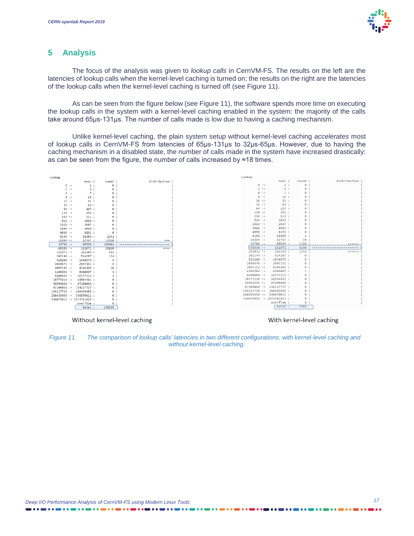

#### **5 Analysis**

The focus of the analysis was given to *lookup calls* in CernVM-FS. The results on the left are the latencies of lookup calls when the kernel-level caching is turned on; the results on the right are the latencies of the lookup calls when the kernel-level caching is turned off (see [Figure 11\)](#page-16-0).

As can be seen from the figure below (see [Figure 11\)](#page-16-0), the software spends more time on executing the lookup calls in the system with a kernel-level caching enabled in the system: the majority of the calls take around 65μs-131μs. The number of calls made is low due to having a caching mechanism.

Unlike kernel-level caching, the plain system setup without kernel-level caching *accelerates* most of lookup calls in CernVM-FS from latencies of 65μs-131μs to 32μs-65μs. However, due to having the caching mechanism in a disabled state, the number of calls made in the system have increased drastically: as can be seen from the figure, the number of calls increased by ≈18 times.



Without kernel-level caching

With kernel-level caching

<span id="page-16-0"></span>*Figure 11. The comparison of lookup calls' latencies in two different configurations: with kernel-level caching and without kernel-level caching.*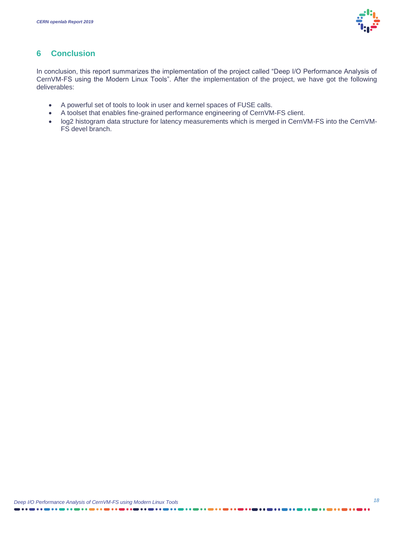

### **6 Conclusion**

In conclusion, this report summarizes the implementation of the project called "Deep I/O Performance Analysis of CernVM-FS using the Modern Linux Tools". After the implementation of the project, we have got the following deliverables:

- A powerful set of tools to look in user and kernel spaces of FUSE calls.
- A toolset that enables fine-grained performance engineering of CernVM-FS client.
- log2 histogram data structure for latency measurements which is merged in CernVM-FS into the CernVM-FS devel branch.

. . . . . .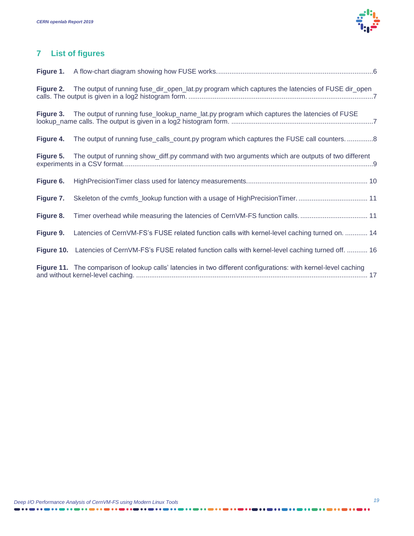

## **7 List of figures**

| Figure 1. |                                                                                                            |
|-----------|------------------------------------------------------------------------------------------------------------|
|           | Figure 2. The output of running fuse_dir_open_lat.py program which captures the latencies of FUSE dir_open |
|           | Figure 3. The output of running fuse_lookup_name_lat.py program which captures the latencies of FUSE       |
| Figure 4. | The output of running fuse_calls_count.py program which captures the FUSE call counters. 8                 |
| Figure 5. | The output of running show_diff.py command with two arguments which are outputs of two different           |
| Figure 6. |                                                                                                            |
| Figure 7. |                                                                                                            |
| Figure 8. |                                                                                                            |
|           |                                                                                                            |
| Figure 9. | Latencies of CernVM-FS's FUSE related function calls with kernel-level caching turned on.  14              |
|           | Figure 10. Latencies of CernVM-FS's FUSE related function calls with kernel-level caching turned off.  16  |

. . . . . . . . . . . . . . . .